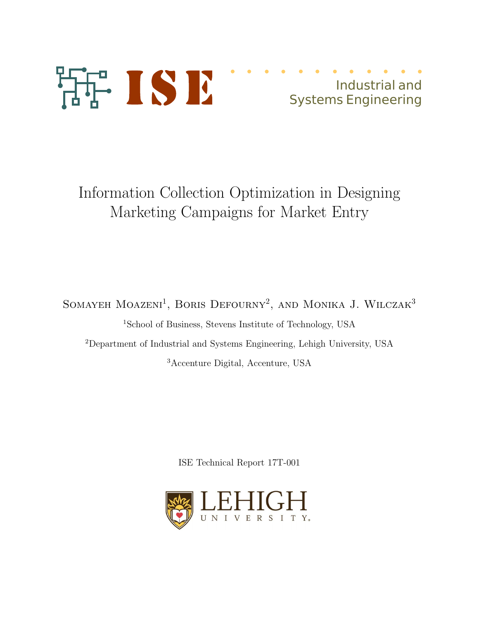

Industrial and Systems Engineering

Information Collection Optimization in Designing Marketing Campaigns for Market Entry

SOMAYEH MOAZENI<sup>1</sup>, BORIS DEFOURNY<sup>2</sup>, AND MONIKA J. WILCZAK<sup>3</sup> School of Business, Stevens Institute of Technology, USA Department of Industrial and Systems Engineering, Lehigh University, USA Accenture Digital, Accenture, USA

ISE Technical Report 17T-001

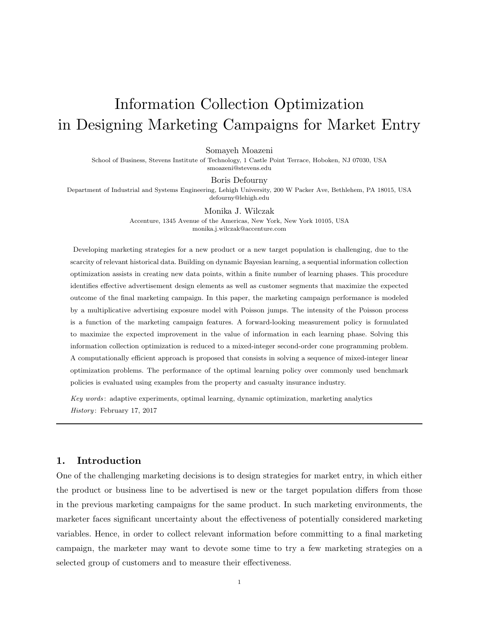# Information Collection Optimization in Designing Marketing Campaigns for Market Entry

Somayeh Moazeni

School of Business, Stevens Institute of Technology, 1 Castle Point Terrace, Hoboken, NJ 07030, USA smoazeni@stevens.edu

#### Boris Defourny

Department of Industrial and Systems Engineering, Lehigh University, 200 W Packer Ave, Bethlehem, PA 18015, USA defourny@lehigh.edu

> Monika J. Wilczak Accenture, 1345 Avenue of the Americas, New York, New York 10105, USA monika.j.wilczak@accenture.com

Developing marketing strategies for a new product or a new target population is challenging, due to the scarcity of relevant historical data. Building on dynamic Bayesian learning, a sequential information collection optimization assists in creating new data points, within a finite number of learning phases. This procedure identifies effective advertisement design elements as well as customer segments that maximize the expected outcome of the final marketing campaign. In this paper, the marketing campaign performance is modeled by a multiplicative advertising exposure model with Poisson jumps. The intensity of the Poisson process is a function of the marketing campaign features. A forward-looking measurement policy is formulated to maximize the expected improvement in the value of information in each learning phase. Solving this information collection optimization is reduced to a mixed-integer second-order cone programming problem. A computationally efficient approach is proposed that consists in solving a sequence of mixed-integer linear optimization problems. The performance of the optimal learning policy over commonly used benchmark policies is evaluated using examples from the property and casualty insurance industry.

Key words: adaptive experiments, optimal learning, dynamic optimization, marketing analytics History : February 17, 2017

# 1. Introduction

One of the challenging marketing decisions is to design strategies for market entry, in which either the product or business line to be advertised is new or the target population differs from those in the previous marketing campaigns for the same product. In such marketing environments, the marketer faces significant uncertainty about the effectiveness of potentially considered marketing variables. Hence, in order to collect relevant information before committing to a final marketing campaign, the marketer may want to devote some time to try a few marketing strategies on a selected group of customers and to measure their effectiveness.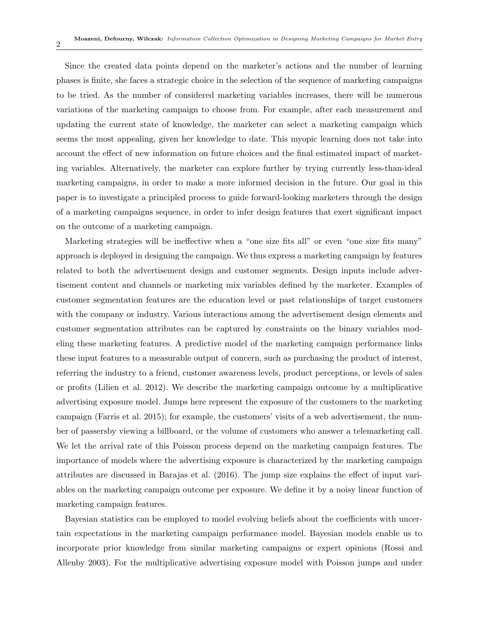2

Since the created data points depend on the marketer's actions and the number of learning phases is finite, she faces a strategic choice in the selection of the sequence of marketing campaigns to be tried. As the number of considered marketing variables increases, there will be numerous variations of the marketing campaign to choose from. For example, after each measurement and updating the current state of knowledge, the marketer can select a marketing campaign which seems the most appealing, given her knowledge to date. This myopic learning does not take into account the effect of new information on future choices and the final estimated impact of marketing variables. Alternatively, the marketer can explore further by trying currently less-than-ideal marketing campaigns, in order to make a more informed decision in the future. Our goal in this paper is to investigate a principled process to guide forward-looking marketers through the design of a marketing campaigns sequence, in order to infer design features that exert significant impact on the outcome of a marketing campaign.

Marketing strategies will be ineffective when a "one size fits all" or even "one size fits many" approach is deployed in designing the campaign. We thus express a marketing campaign by features related to both the advertisement design and customer segments. Design inputs include advertisement content and channels or marketing mix variables defined by the marketer. Examples of customer segmentation features are the education level or past relationships of target customers with the company or industry. Various interactions among the advertisement design elements and customer segmentation attributes can be captured by constraints on the binary variables modeling these marketing features. A predictive model of the marketing campaign performance links these input features to a measurable output of concern, such as purchasing the product of interest, referring the industry to a friend, customer awareness levels, product perceptions, or levels of sales or profits (Lilien et al. 2012). We describe the marketing campaign outcome by a multiplicative advertising exposure model. Jumps here represent the exposure of the customers to the marketing campaign (Farris et al. 2015); for example, the customers' visits of a web advertisement, the number of passersby viewing a billboard, or the volume of customers who answer a telemarketing call. We let the arrival rate of this Poisson process depend on the marketing campaign features. The importance of models where the advertising exposure is characterized by the marketing campaign attributes are discussed in Barajas et al. (2016). The jump size explains the effect of input variables on the marketing campaign outcome per exposure. We define it by a noisy linear function of marketing campaign features.

Bayesian statistics can be employed to model evolving beliefs about the coefficients with uncertain expectations in the marketing campaign performance model. Bayesian models enable us to incorporate prior knowledge from similar marketing campaigns or expert opinions (Rossi and Allenby 2003). For the multiplicative advertising exposure model with Poisson jumps and under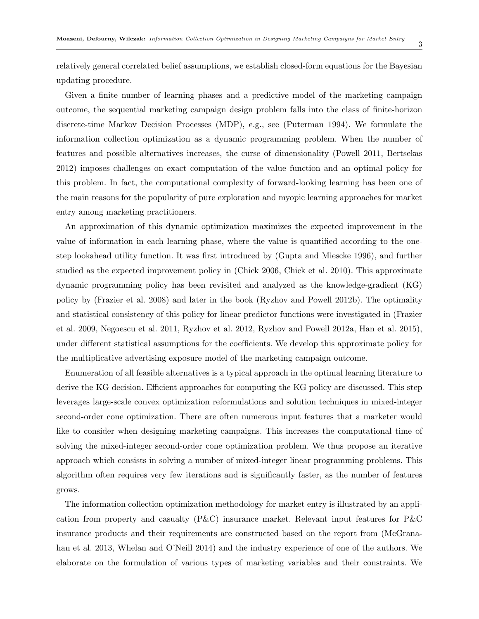relatively general correlated belief assumptions, we establish closed-form equations for the Bayesian updating procedure.

Given a finite number of learning phases and a predictive model of the marketing campaign outcome, the sequential marketing campaign design problem falls into the class of finite-horizon discrete-time Markov Decision Processes (MDP), e.g., see (Puterman 1994). We formulate the information collection optimization as a dynamic programming problem. When the number of features and possible alternatives increases, the curse of dimensionality (Powell 2011, Bertsekas 2012) imposes challenges on exact computation of the value function and an optimal policy for this problem. In fact, the computational complexity of forward-looking learning has been one of the main reasons for the popularity of pure exploration and myopic learning approaches for market entry among marketing practitioners.

An approximation of this dynamic optimization maximizes the expected improvement in the value of information in each learning phase, where the value is quantified according to the onestep lookahead utility function. It was first introduced by (Gupta and Miescke 1996), and further studied as the expected improvement policy in (Chick 2006, Chick et al. 2010). This approximate dynamic programming policy has been revisited and analyzed as the knowledge-gradient (KG) policy by (Frazier et al. 2008) and later in the book (Ryzhov and Powell 2012b). The optimality and statistical consistency of this policy for linear predictor functions were investigated in (Frazier et al. 2009, Negoescu et al. 2011, Ryzhov et al. 2012, Ryzhov and Powell 2012a, Han et al. 2015), under different statistical assumptions for the coefficients. We develop this approximate policy for the multiplicative advertising exposure model of the marketing campaign outcome.

Enumeration of all feasible alternatives is a typical approach in the optimal learning literature to derive the KG decision. Efficient approaches for computing the KG policy are discussed. This step leverages large-scale convex optimization reformulations and solution techniques in mixed-integer second-order cone optimization. There are often numerous input features that a marketer would like to consider when designing marketing campaigns. This increases the computational time of solving the mixed-integer second-order cone optimization problem. We thus propose an iterative approach which consists in solving a number of mixed-integer linear programming problems. This algorithm often requires very few iterations and is significantly faster, as the number of features grows.

The information collection optimization methodology for market entry is illustrated by an application from property and casualty (P&C) insurance market. Relevant input features for P&C insurance products and their requirements are constructed based on the report from (McGranahan et al. 2013, Whelan and O'Neill 2014) and the industry experience of one of the authors. We elaborate on the formulation of various types of marketing variables and their constraints. We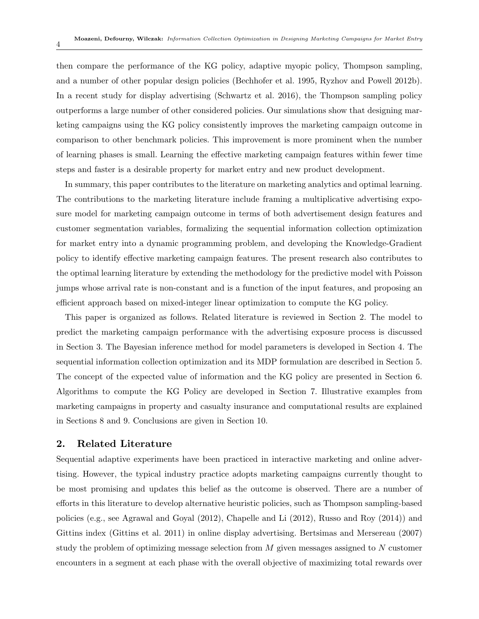then compare the performance of the KG policy, adaptive myopic policy, Thompson sampling, and a number of other popular design policies (Bechhofer et al. 1995, Ryzhov and Powell 2012b). In a recent study for display advertising (Schwartz et al. 2016), the Thompson sampling policy outperforms a large number of other considered policies. Our simulations show that designing marketing campaigns using the KG policy consistently improves the marketing campaign outcome in comparison to other benchmark policies. This improvement is more prominent when the number of learning phases is small. Learning the effective marketing campaign features within fewer time steps and faster is a desirable property for market entry and new product development.

In summary, this paper contributes to the literature on marketing analytics and optimal learning. The contributions to the marketing literature include framing a multiplicative advertising exposure model for marketing campaign outcome in terms of both advertisement design features and customer segmentation variables, formalizing the sequential information collection optimization for market entry into a dynamic programming problem, and developing the Knowledge-Gradient policy to identify effective marketing campaign features. The present research also contributes to the optimal learning literature by extending the methodology for the predictive model with Poisson jumps whose arrival rate is non-constant and is a function of the input features, and proposing an efficient approach based on mixed-integer linear optimization to compute the KG policy.

This paper is organized as follows. Related literature is reviewed in Section 2. The model to predict the marketing campaign performance with the advertising exposure process is discussed in Section 3. The Bayesian inference method for model parameters is developed in Section 4. The sequential information collection optimization and its MDP formulation are described in Section 5. The concept of the expected value of information and the KG policy are presented in Section 6. Algorithms to compute the KG Policy are developed in Section 7. Illustrative examples from marketing campaigns in property and casualty insurance and computational results are explained in Sections 8 and 9. Conclusions are given in Section 10.

# 2. Related Literature

4

Sequential adaptive experiments have been practiced in interactive marketing and online advertising. However, the typical industry practice adopts marketing campaigns currently thought to be most promising and updates this belief as the outcome is observed. There are a number of efforts in this literature to develop alternative heuristic policies, such as Thompson sampling-based policies (e.g., see Agrawal and Goyal (2012), Chapelle and Li (2012), Russo and Roy (2014)) and Gittins index (Gittins et al. 2011) in online display advertising. Bertsimas and Mersereau (2007) study the problem of optimizing message selection from M given messages assigned to N customer encounters in a segment at each phase with the overall objective of maximizing total rewards over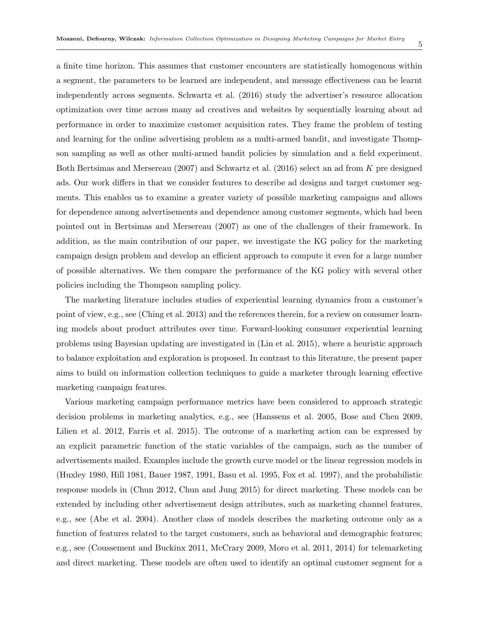a finite time horizon. This assumes that customer encounters are statistically homogenous within a segment, the parameters to be learned are independent, and message effectiveness can be learnt independently across segments. Schwartz et al. (2016) study the advertiser's resource allocation optimization over time across many ad creatives and websites by sequentially learning about ad performance in order to maximize customer acquisition rates. They frame the problem of testing and learning for the online advertising problem as a multi-armed bandit, and investigate Thompson sampling as well as other multi-armed bandit policies by simulation and a field experiment. Both Bertsimas and Mersereau (2007) and Schwartz et al. (2016) select an ad from K pre designed ads. Our work differs in that we consider features to describe ad designs and target customer segments. This enables us to examine a greater variety of possible marketing campaigns and allows for dependence among advertisements and dependence among customer segments, which had been pointed out in Bertsimas and Mersereau (2007) as one of the challenges of their framework. In addition, as the main contribution of our paper, we investigate the KG policy for the marketing campaign design problem and develop an efficient approach to compute it even for a large number of possible alternatives. We then compare the performance of the KG policy with several other policies including the Thompson sampling policy.

The marketing literature includes studies of experiential learning dynamics from a customer's point of view, e.g., see (Ching et al. 2013) and the references therein, for a review on consumer learning models about product attributes over time. Forward-looking consumer experiential learning problems using Bayesian updating are investigated in (Lin et al. 2015), where a heuristic approach to balance exploitation and exploration is proposed. In contrast to this literature, the present paper aims to build on information collection techniques to guide a marketer through learning effective marketing campaign features.

Various marketing campaign performance metrics have been considered to approach strategic decision problems in marketing analytics, e.g., see (Hanssens et al. 2005, Bose and Chen 2009, Lilien et al. 2012, Farris et al. 2015). The outcome of a marketing action can be expressed by an explicit parametric function of the static variables of the campaign, such as the number of advertisements mailed. Examples include the growth curve model or the linear regression models in (Huxley 1980, Hill 1981, Bauer 1987, 1991, Basu et al. 1995, Fox et al. 1997), and the probabilistic response models in (Chun 2012, Chun and Jung 2015) for direct marketing. These models can be extended by including other advertisement design attributes, such as marketing channel features, e.g., see (Abe et al. 2004). Another class of models describes the marketing outcome only as a function of features related to the target customers, such as behavioral and demographic features; e.g., see (Coussement and Buckinx 2011, McCrary 2009, Moro et al. 2011, 2014) for telemarketing and direct marketing. These models are often used to identify an optimal customer segment for a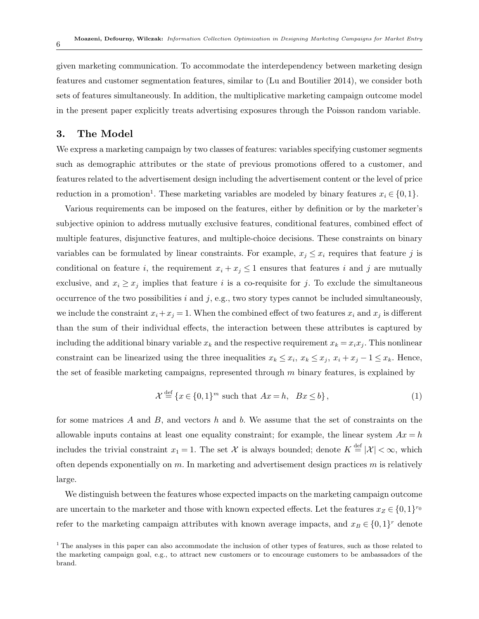given marketing communication. To accommodate the interdependency between marketing design features and customer segmentation features, similar to (Lu and Boutilier 2014), we consider both sets of features simultaneously. In addition, the multiplicative marketing campaign outcome model in the present paper explicitly treats advertising exposures through the Poisson random variable.

# 3. The Model

6

We express a marketing campaign by two classes of features: variables specifying customer segments such as demographic attributes or the state of previous promotions offered to a customer, and features related to the advertisement design including the advertisement content or the level of price reduction in a promotion<sup>1</sup>. These marketing variables are modeled by binary features  $x_i \in \{0, 1\}$ .

Various requirements can be imposed on the features, either by definition or by the marketer's subjective opinion to address mutually exclusive features, conditional features, combined effect of multiple features, disjunctive features, and multiple-choice decisions. These constraints on binary variables can be formulated by linear constraints. For example,  $x_j \leq x_i$  requires that feature j is conditional on feature i, the requirement  $x_i + x_j \leq 1$  ensures that features i and j are mutually exclusive, and  $x_i \geq x_j$  implies that feature i is a co-requisite for j. To exclude the simultaneous occurrence of the two possibilities i and j, e.g., two story types cannot be included simultaneously, we include the constraint  $x_i+x_j = 1$ . When the combined effect of two features  $x_i$  and  $x_j$  is different than the sum of their individual effects, the interaction between these attributes is captured by including the additional binary variable  $x_k$  and the respective requirement  $x_k = x_i x_j$ . This nonlinear constraint can be linearized using the three inequalities  $x_k \leq x_i$ ,  $x_k \leq x_j$ ,  $x_i + x_j - 1 \leq x_k$ . Hence, the set of feasible marketing campaigns, represented through  $m$  binary features, is explained by

$$
\mathcal{X} \stackrel{\text{def}}{=} \{x \in \{0, 1\}^m \text{ such that } Ax = h, \quad Bx \le b\},\tag{1}
$$

for some matrices A and B, and vectors  $h$  and  $b$ . We assume that the set of constraints on the allowable inputs contains at least one equality constraint; for example, the linear system  $Ax = h$ includes the trivial constraint  $x_1 = 1$ . The set X is always bounded; denote  $K \stackrel{\text{def}}{=} |\mathcal{X}| < \infty$ , which often depends exponentially on  $m$ . In marketing and advertisement design practices  $m$  is relatively large.

We distinguish between the features whose expected impacts on the marketing campaign outcome are uncertain to the marketer and those with known expected effects. Let the features  $x_Z \in \{0,1\}^{r_0}$ refer to the marketing campaign attributes with known average impacts, and  $x_B \in \{0, 1\}^r$  denote

<sup>&</sup>lt;sup>1</sup> The analyses in this paper can also accommodate the inclusion of other types of features, such as those related to the marketing campaign goal, e.g., to attract new customers or to encourage customers to be ambassadors of the brand.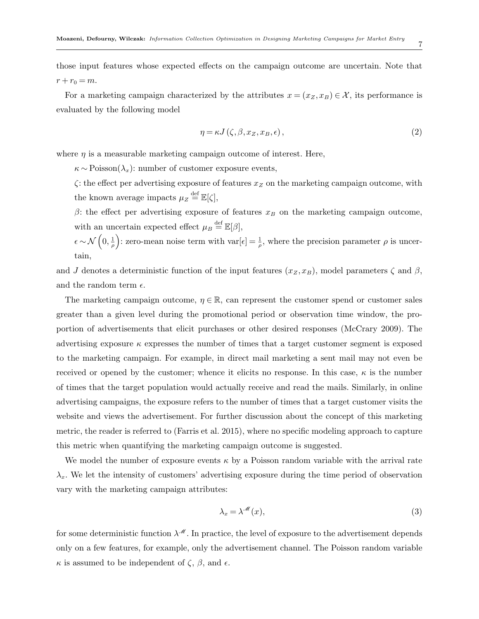those input features whose expected effects on the campaign outcome are uncertain. Note that  $r + r_0 = m$ .

For a marketing campaign characterized by the attributes  $x = (x_Z, x_B) \in \mathcal{X}$ , its performance is evaluated by the following model

$$
\eta = \kappa J\left(\zeta, \beta, x_Z, x_B, \epsilon\right),\tag{2}
$$

where  $\eta$  is a measurable marketing campaign outcome of interest. Here,

 $\kappa \sim \text{Poisson}(\lambda_x)$ : number of customer exposure events,

 $\zeta$ : the effect per advertising exposure of features  $x_Z$  on the marketing campaign outcome, with the known average impacts  $\mu_Z \stackrel{\text{def}}{=} \mathbb{E}[\zeta],$ 

β: the effect per advertising exposure of features  $x_B$  on the marketing campaign outcome, with an uncertain expected effect  $\mu_B \stackrel{\text{def}}{=} \mathbb{E}[\beta],$ 

 $\epsilon \sim \mathcal{N}\left(0, \frac{1}{a}\right)$  $\frac{1}{\rho}$ : zero-mean noise term with var $[\epsilon] = \frac{1}{\rho}$ , where the precision parameter  $\rho$  is uncertain,

and J denotes a deterministic function of the input features  $(x_Z, x_B)$ , model parameters  $\zeta$  and  $\beta$ , and the random term  $\epsilon$ .

The marketing campaign outcome,  $\eta \in \mathbb{R}$ , can represent the customer spend or customer sales greater than a given level during the promotional period or observation time window, the proportion of advertisements that elicit purchases or other desired responses (McCrary 2009). The advertising exposure  $\kappa$  expresses the number of times that a target customer segment is exposed to the marketing campaign. For example, in direct mail marketing a sent mail may not even be received or opened by the customer; whence it elicits no response. In this case,  $\kappa$  is the number of times that the target population would actually receive and read the mails. Similarly, in online advertising campaigns, the exposure refers to the number of times that a target customer visits the website and views the advertisement. For further discussion about the concept of this marketing metric, the reader is referred to (Farris et al. 2015), where no specific modeling approach to capture this metric when quantifying the marketing campaign outcome is suggested.

We model the number of exposure events  $\kappa$  by a Poisson random variable with the arrival rate  $\lambda_x$ . We let the intensity of customers' advertising exposure during the time period of observation vary with the marketing campaign attributes:

$$
\lambda_x = \lambda^{\mathcal{M}}(x),\tag{3}
$$

for some deterministic function  $\lambda^{\mathcal{M}}$ . In practice, the level of exposure to the advertisement depends only on a few features, for example, only the advertisement channel. The Poisson random variable  $\kappa$  is assumed to be independent of  $\zeta$ ,  $\beta$ , and  $\epsilon$ .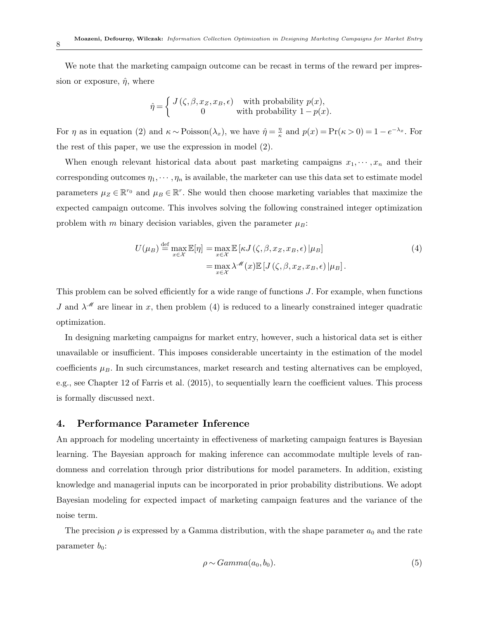We note that the marketing campaign outcome can be recast in terms of the reward per impression or exposure,  $\hat{\eta}$ , where

$$
\hat{\eta} = \begin{cases} J(\zeta, \beta, x_Z, x_B, \epsilon) & \text{with probability } p(x), \\ 0 & \text{with probability } 1 - p(x). \end{cases}
$$

For  $\eta$  as in equation (2) and  $\kappa \sim \text{Poisson}(\lambda_x)$ , we have  $\hat{\eta} = \frac{\eta}{\kappa}$  $\frac{\eta}{\kappa}$  and  $p(x) = \Pr(\kappa > 0) = 1 - e^{-\lambda_x}$ . For the rest of this paper, we use the expression in model (2).

When enough relevant historical data about past marketing campaigns  $x_1, \dots, x_n$  and their corresponding outcomes  $\eta_1, \dots, \eta_n$  is available, the marketer can use this data set to estimate model parameters  $\mu_Z \in \mathbb{R}^{r_0}$  and  $\mu_B \in \mathbb{R}^r$ . She would then choose marketing variables that maximize the expected campaign outcome. This involves solving the following constrained integer optimization problem with m binary decision variables, given the parameter  $\mu_B$ :

$$
U(\mu_B) \stackrel{\text{def}}{=} \max_{x \in \mathcal{X}} \mathbb{E}[\eta] = \max_{x \in \mathcal{X}} \mathbb{E}[\kappa J(\zeta, \beta, x_Z, x_B, \epsilon) | \mu_B]
$$
  

$$
= \max_{x \in \mathcal{X}} \lambda^{\mathcal{M}}(x) \mathbb{E}[J(\zeta, \beta, x_Z, x_B, \epsilon) | \mu_B].
$$
 (4)

This problem can be solved efficiently for a wide range of functions J. For example, when functions J and  $\lambda^M$  are linear in x, then problem (4) is reduced to a linearly constrained integer quadratic optimization.

In designing marketing campaigns for market entry, however, such a historical data set is either unavailable or insufficient. This imposes considerable uncertainty in the estimation of the model coefficients  $\mu_B$ . In such circumstances, market research and testing alternatives can be employed, e.g., see Chapter 12 of Farris et al. (2015), to sequentially learn the coefficient values. This process is formally discussed next.

# 4. Performance Parameter Inference

An approach for modeling uncertainty in effectiveness of marketing campaign features is Bayesian learning. The Bayesian approach for making inference can accommodate multiple levels of randomness and correlation through prior distributions for model parameters. In addition, existing knowledge and managerial inputs can be incorporated in prior probability distributions. We adopt Bayesian modeling for expected impact of marketing campaign features and the variance of the noise term.

The precision  $\rho$  is expressed by a Gamma distribution, with the shape parameter  $a_0$  and the rate parameter  $b_0$ :

$$
\rho \sim Gamma(a_0, b_0). \tag{5}
$$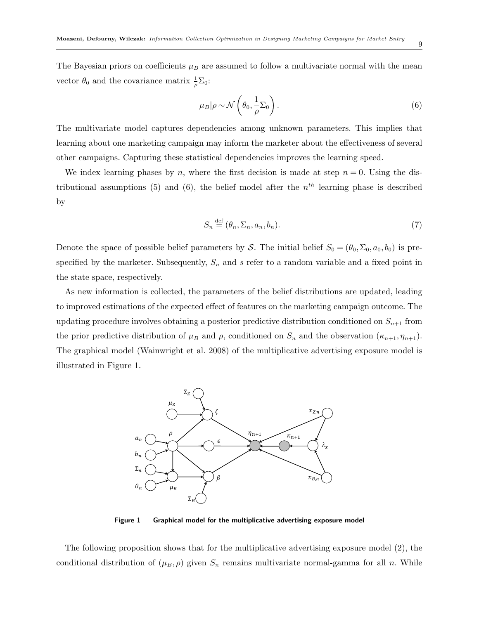9

The Bayesian priors on coefficients  $\mu_B$  are assumed to follow a multivariate normal with the mean vector  $\theta_0$  and the covariance matrix  $\frac{1}{\rho} \Sigma_0$ :

$$
\mu_B|\rho \sim \mathcal{N}\left(\theta_0, \frac{1}{\rho} \Sigma_0\right). \tag{6}
$$

The multivariate model captures dependencies among unknown parameters. This implies that learning about one marketing campaign may inform the marketer about the effectiveness of several other campaigns. Capturing these statistical dependencies improves the learning speed.

We index learning phases by n, where the first decision is made at step  $n = 0$ . Using the distributional assumptions (5) and (6), the belief model after the  $n<sup>th</sup>$  learning phase is described by

$$
S_n \stackrel{\text{def}}{=} (\theta_n, \Sigma_n, a_n, b_n). \tag{7}
$$

Denote the space of possible belief parameters by S. The initial belief  $S_0 = (\theta_0, \Sigma_0, a_0, b_0)$  is prespecified by the marketer. Subsequently,  $S_n$  and s refer to a random variable and a fixed point in the state space, respectively.

As new information is collected, the parameters of the belief distributions are updated, leading to improved estimations of the expected effect of features on the marketing campaign outcome. The updating procedure involves obtaining a posterior predictive distribution conditioned on  $S_{n+1}$  from the prior predictive distribution of  $\mu_B$  and  $\rho$ , conditioned on  $S_n$  and the observation  $(\kappa_{n+1}, \eta_{n+1})$ . The graphical model (Wainwright et al. 2008) of the multiplicative advertising exposure model is illustrated in Figure 1.



Figure 1 Graphical model for the multiplicative advertising exposure model

The following proposition shows that for the multiplicative advertising exposure model (2), the conditional distribution of  $(\mu_B, \rho)$  given  $S_n$  remains multivariate normal-gamma for all n. While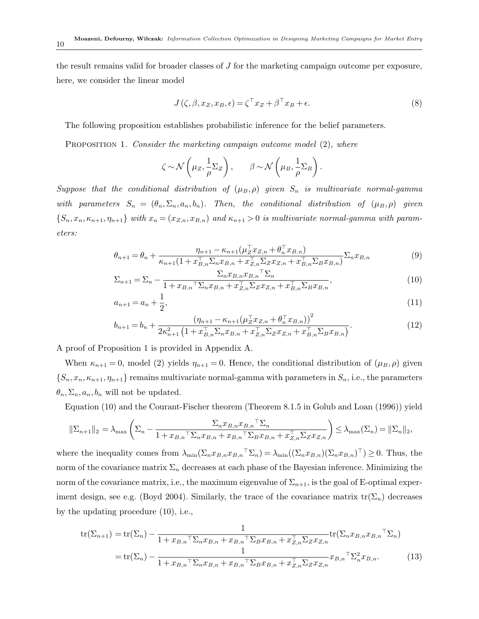the result remains valid for broader classes of J for the marketing campaign outcome per exposure, here, we consider the linear model

$$
J(\zeta, \beta, x_Z, x_B, \epsilon) = \zeta^\top x_Z + \beta^\top x_B + \epsilon. \tag{8}
$$

The following proposition establishes probabilistic inference for the belief parameters.

**PROPOSITION 1.** Consider the marketing campaign outcome model  $(2)$ , where

$$
\zeta \sim \mathcal{N}\left(\mu_Z, \frac{1}{\rho} \Sigma_Z\right), \qquad \beta \sim \mathcal{N}\left(\mu_B, \frac{1}{\rho} \Sigma_B\right).
$$

Suppose that the conditional distribution of  $(\mu_B, \rho)$  given  $S_n$  is multivariate normal-gamma with parameters  $S_n = (\theta_n, \Sigma_n, a_n, b_n)$ . Then, the conditional distribution of  $(\mu_B, \rho)$  given  $\{S_n, x_n, \kappa_{n+1}, \eta_{n+1}\}\$  with  $x_n = (x_{Z,n}, x_{B,n})$  and  $\kappa_{n+1} > 0$  is multivariate normal-gamma with parameters:

$$
\theta_{n+1} = \theta_n + \frac{\eta_{n+1} - \kappa_{n+1} (\mu_Z^{\top} x_{Z,n} + \theta_n^{\top} x_{B,n})}{\kappa_{n+1} (1 + x_{B,n}^{\top} \Sigma_n x_{B,n} + x_{Z,n}^{\top} \Sigma_Z x_{Z,n} + x_{B,n}^{\top} \Sigma_B x_{B,n})} \Sigma_n x_{B,n}
$$
(9)

$$
\Sigma_{n+1} = \Sigma_n - \frac{\Sigma_n x_{B,n} x_{B,n}^\top \Sigma_n}{1 + x_{B,n}^\top \Sigma_n x_{B,n} + x_{Z,n}^\top \Sigma_Z x_{Z,n} + x_{B,n}^\top \Sigma_B x_{B,n}},\tag{10}
$$

$$
a_{n+1} = a_n + \frac{1}{2},\tag{11}
$$

$$
b_{n+1} = b_n + \frac{\left(\eta_{n+1} - \kappa_{n+1} \left(\mu_Z^{\top} x_{Z,n} + \theta_n^{\top} x_{B,n}\right)\right)^2}{2\kappa_{n+1}^2 \left(1 + x_{B,n}^{\top} \Sigma_n x_{B,n} + x_{Z,n}^{\top} \Sigma_Z x_{Z,n} + x_{B,n}^{\top} \Sigma_B x_{B,n}\right)}.
$$
\n(12)

A proof of Proposition 1 is provided in Appendix A.

When  $\kappa_{n+1} = 0$ , model (2) yields  $\eta_{n+1} = 0$ . Hence, the conditional distribution of  $(\mu_B, \rho)$  given  $\{S_n, x_n, \kappa_{n+1}, \eta_{n+1}\}$  remains multivariate normal-gamma with parameters in  $S_n$ , i.e., the parameters  $\theta_n, \Sigma_n, a_n, b_n$  will not be updated.

Equation (10) and the Courant-Fischer theorem (Theorem 8.1.5 in Golub and Loan (1996)) yield

$$
\|\Sigma_{n+1}\|_2 = \lambda_{\max}\left(\Sigma_n - \frac{\Sigma_n x_{B,n} x_{B,n} \top \Sigma_n}{1 + x_{B,n} \top \Sigma_n x_{B,n} + x_{B,n} \top \Sigma_B x_{B,n} + x_{Z,n} \top \Sigma_Z x_{Z,n}}\right) \leq \lambda_{\max}(\Sigma_n) = \|\Sigma_n\|_2,
$$

where the inequality comes from  $\lambda_{\min}(\Sigma_n x_{B,n} x_{B,n}^\top \Sigma_n) = \lambda_{\min}((\Sigma_n x_{B,n})(\Sigma_n x_{B,n})^\top) \geq 0$ . Thus, the norm of the covariance matrix  $\Sigma_n$  decreases at each phase of the Bayesian inference. Minimizing the norm of the covariance matrix, i.e., the maximum eigenvalue of  $\Sigma_{n+1}$ , is the goal of E-optimal experiment design, see e.g. (Boyd 2004). Similarly, the trace of the covariance matrix  $\text{tr}(\Sigma_n)$  decreases by the updating procedure (10), i.e.,

tr(
$$
\Sigma_{n+1}
$$
) = tr( $\Sigma_n$ ) -  $\frac{1}{1 + x_{B,n}^\top \Sigma_n x_{B,n} + x_{B,n}^\top \Sigma_B x_{B,n} + x_{Z,n}^\top \Sigma_Z x_{Z,n}} \text{tr}(\Sigma_n x_{B,n} x_{B,n}^\top \Sigma_n)$   
= tr( $\Sigma_n$ ) -  $\frac{1}{1 + x_{B,n}^\top \Sigma_n x_{B,n} + x_{B,n}^\top \Sigma_B x_{B,n} + x_{Z,n}^\top \Sigma_Z x_{Z,n}} x_{B,n}^\top \Sigma_n^2 x_{B,n}.$  (13)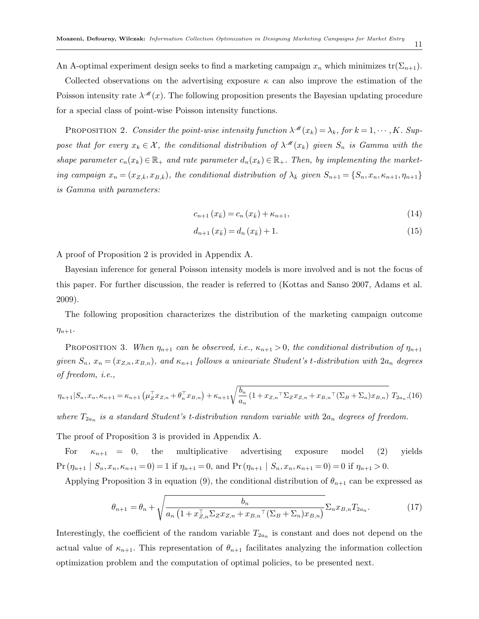An A-optimal experiment design seeks to find a marketing campaign  $x_n$  which minimizes tr( $\Sigma_{n+1}$ ).

Collected observations on the advertising exposure  $\kappa$  can also improve the estimation of the Poisson intensity rate  $\lambda^{\mathcal{M}}(x)$ . The following proposition presents the Bayesian updating procedure for a special class of point-wise Poisson intensity functions.

PROPOSITION 2. Consider the point-wise intensity function  $\lambda^{\mathscr{M}}(x_k) = \lambda_k$ , for  $k = 1, \dots, K$ . Suppose that for every  $x_k \in \mathcal{X}$ , the conditional distribution of  $\lambda^{\mathcal{M}}(x_k)$  given  $S_n$  is Gamma with the shape parameter  $c_n(x_k) \in \mathbb{R}_+$  and rate parameter  $d_n(x_k) \in \mathbb{R}_+$ . Then, by implementing the marketing campaign  $x_n = (x_{Z,\bar{k}}, x_{B,\bar{k}})$ , the conditional distribution of  $\lambda_{\bar{k}}$  given  $S_{n+1} = \{S_n, x_n, \kappa_{n+1}, \eta_{n+1}\}\$ is Gamma with parameters:

$$
c_{n+1}(x_{\bar{k}}) = c_n(x_{\bar{k}}) + \kappa_{n+1},
$$
\n(14)

$$
d_{n+1}(x_{\bar{k}}) = d_n(x_{\bar{k}}) + 1.
$$
\n(15)

A proof of Proposition 2 is provided in Appendix A.

Bayesian inference for general Poisson intensity models is more involved and is not the focus of this paper. For further discussion, the reader is referred to (Kottas and Sanso 2007, Adams et al. 2009).

The following proposition characterizes the distribution of the marketing campaign outcome  $\eta_{n+1}.$ 

**PROPOSITION** 3. When  $\eta_{n+1}$  can be observed, i.e.,  $\kappa_{n+1} > 0$ , the conditional distribution of  $\eta_{n+1}$ given  $S_n$ ,  $x_n = (x_{Z,n}, x_{B,n})$ , and  $\kappa_{n+1}$  follows a univariate Student's t-distribution with  $2a_n$  degrees of freedom, i.e.,

$$
\eta_{n+1}|S_n, x_n, \kappa_{n+1} = \kappa_{n+1} \left( \mu_Z^{\top} x_{Z,n} + \theta_n^{\top} x_{B,n} \right) + \kappa_{n+1} \sqrt{\frac{b_n}{a_n} \left( 1 + x_{Z,n}^{\top} \Sigma_Z x_{Z,n} + x_{B,n}^{\top} \left( \Sigma_B + \Sigma_n \right) x_{B,n} \right)} \ T_{2a_n}, \tag{16}
$$

where  $T_{2a_n}$  is a standard Student's t-distribution random variable with  $2a_n$  degrees of freedom.

The proof of Proposition 3 is provided in Appendix A.

For  $\kappa_{n+1} = 0$ , the multiplicative advertising exposure model (2) yields  $Pr(\eta_{n+1} | S_n, x_n, \kappa_{n+1} = 0) = 1$  if  $\eta_{n+1} = 0$ , and  $Pr(\eta_{n+1} | S_n, x_n, \kappa_{n+1} = 0) = 0$  if  $\eta_{n+1} > 0$ .

Applying Proposition 3 in equation (9), the conditional distribution of  $\theta_{n+1}$  can be expressed as

$$
\theta_{n+1} = \theta_n + \sqrt{\frac{b_n}{a_n \left(1 + x_{Z,n}^\top \Sigma_Z x_{Z,n} + x_{B,n}^\top (\Sigma_B + \Sigma_n) x_{B,n}\right)}} \Sigma_n x_{B,n} T_{2a_n}.
$$
\n(17)

Interestingly, the coefficient of the random variable  $T_{2a_n}$  is constant and does not depend on the actual value of  $\kappa_{n+1}$ . This representation of  $\theta_{n+1}$  facilitates analyzing the information collection optimization problem and the computation of optimal policies, to be presented next.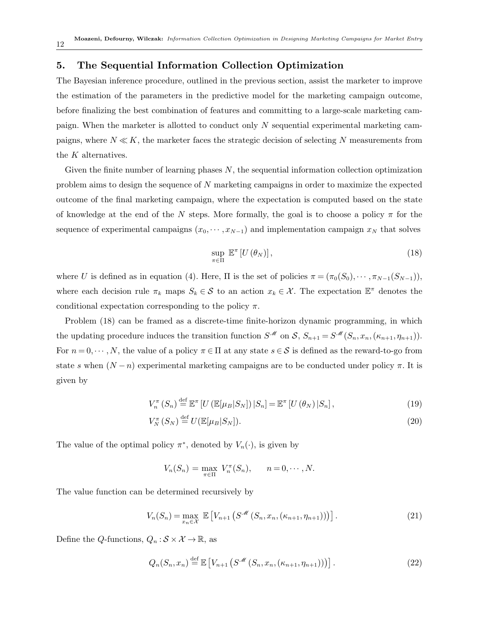# 5. The Sequential Information Collection Optimization

The Bayesian inference procedure, outlined in the previous section, assist the marketer to improve the estimation of the parameters in the predictive model for the marketing campaign outcome, before finalizing the best combination of features and committing to a large-scale marketing campaign. When the marketer is allotted to conduct only N sequential experimental marketing campaigns, where  $N \ll K$ , the marketer faces the strategic decision of selecting N measurements from the K alternatives.

Given the finite number of learning phases  $N$ , the sequential information collection optimization problem aims to design the sequence of N marketing campaigns in order to maximize the expected outcome of the final marketing campaign, where the expectation is computed based on the state of knowledge at the end of the N steps. More formally, the goal is to choose a policy  $\pi$  for the sequence of experimental campaigns  $(x_0, \dots, x_{N-1})$  and implementation campaign  $x_N$  that solves

$$
\sup_{\pi \in \Pi} \mathbb{E}^{\pi} \left[ U \left( \theta_N \right) \right], \tag{18}
$$

where U is defined as in equation (4). Here,  $\Pi$  is the set of policies  $\pi = (\pi_0(S_0), \cdots, \pi_{N-1}(S_{N-1}))$ , where each decision rule  $\pi_k$  maps  $S_k \in \mathcal{S}$  to an action  $x_k \in \mathcal{X}$ . The expectation  $\mathbb{E}^{\pi}$  denotes the conditional expectation corresponding to the policy  $\pi$ .

Problem (18) can be framed as a discrete-time finite-horizon dynamic programming, in which the updating procedure induces the transition function  $S^{\mathcal{M}}$  on  $S$ ,  $S_{n+1} = S^{\mathcal{M}}(S_n, x_n, (\kappa_{n+1}, \eta_{n+1})).$ For  $n = 0, \dots, N$ , the value of a policy  $\pi \in \Pi$  at any state  $s \in S$  is defined as the reward-to-go from state s when  $(N-n)$  experimental marketing campaigns are to be conducted under policy  $\pi$ . It is given by

$$
V_n^{\pi}(S_n) \stackrel{\text{def}}{=} \mathbb{E}^{\pi} \left[ U\left( \mathbb{E}[\mu_B | S_N] \right) | S_n \right] = \mathbb{E}^{\pi} \left[ U\left( \theta_N \right) | S_n \right],\tag{19}
$$

$$
V_N^{\pi}(S_N) \stackrel{\text{def}}{=} U(\mathbb{E}[\mu_B|S_N]). \tag{20}
$$

The value of the optimal policy  $\pi^*$ , denoted by  $V_n(\cdot)$ , is given by

$$
V_n(S_n) = \max_{\pi \in \Pi} V_n^{\pi}(S_n), \qquad n = 0, \cdots, N.
$$

The value function can be determined recursively by

$$
V_n(S_n) = \max_{x_n \in \mathcal{X}} \mathbb{E}\left[V_{n+1}\left(S^{\mathcal{M}}\left(S_n, x_n, (\kappa_{n+1}, \eta_{n+1})\right)\right)\right].
$$
 (21)

Define the Q-functions,  $Q_n : \mathcal{S} \times \mathcal{X} \to \mathbb{R}$ , as

$$
Q_n(S_n, x_n) \stackrel{\text{def}}{=} \mathbb{E}\left[V_{n+1}\left(S^{\mathcal{M}}\left(S_n, x_n, (\kappa_{n+1}, \eta_{n+1})\right)\right)\right].\tag{22}
$$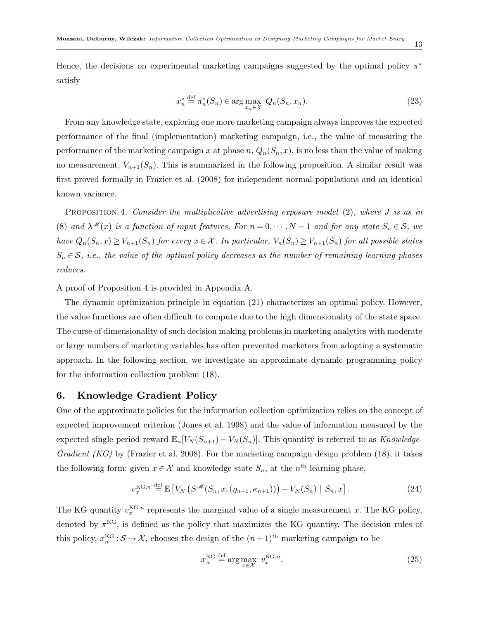Hence, the decisions on experimental marketing campaigns suggested by the optimal policy  $\pi^*$ satisfy

$$
x_n^* \stackrel{\text{def}}{=} \pi_n^*(S_n) \in \arg\max_{x_n \in \mathcal{X}} \ Q_n(S_n, x_n). \tag{23}
$$

From any knowledge state, exploring one more marketing campaign always improves the expected performance of the final (implementation) marketing campaign, i.e., the value of measuring the performance of the marketing campaign x at phase  $n, Q_n(S_n, x)$ , is no less than the value of making no measurement,  $V_{n+1}(S_n)$ . This is summarized in the following proposition. A similar result was first proved formally in Frazier et al. (2008) for independent normal populations and an identical known variance.

PROPOSITION 4. Consider the multiplicative advertising exposure model (2), where J is as in (8) and  $\lambda^{\mathscr{M}}(x)$  is a function of input features. For  $n = 0, \dots, N-1$  and for any state  $S_n \in \mathcal{S}$ , we have  $Q_n(S_n, x) \geq V_{n+1}(S_n)$  for every  $x \in \mathcal{X}$ . In particular,  $V_n(S_n) \geq V_{n+1}(S_n)$  for all possible states  $S_n \in \mathcal{S}$ , i.e., the value of the optimal policy decreases as the number of remaining learning phases reduces.

A proof of Proposition 4 is provided in Appendix A.

The dynamic optimization principle in equation (21) characterizes an optimal policy. However, the value functions are often difficult to compute due to the high dimensionality of the state space. The curse of dimensionality of such decision making problems in marketing analytics with moderate or large numbers of marketing variables has often prevented marketers from adopting a systematic approach. In the following section, we investigate an approximate dynamic programming policy for the information collection problem (18).

# 6. Knowledge Gradient Policy

One of the approximate policies for the information collection optimization relies on the concept of expected improvement criterion (Jones et al. 1998) and the value of information measured by the expected single period reward  $\mathbb{E}_n[V_N(S_{n+1}) - V_N(S_n)]$ . This quantity is referred to as Knowledge-Gradient  $(KG)$  by (Frazier et al. 2008). For the marketing campaign design problem (18), it takes the following form: given  $x \in \mathcal{X}$  and knowledge state  $S_n$ , at the  $n^{\text{th}}$  learning phase,

$$
v_x^{\text{KG},n} \stackrel{\text{def}}{=} \mathbb{E}\left[V_N\left(S^{\mathcal{M}}(S_n,x,(\eta_{n+1},\kappa_{n+1}))\right) - V_N(S_n) \mid S_n,x\right].\tag{24}
$$

The KG quantity  $v_x^{\text{KG},n}$  represents the marginal value of a single measurement x. The KG policy, denoted by  $\pi^{\text{KG}}$ , is defined as the policy that maximizes the KG quantity. The decision rules of this policy,  $x_n^{\text{KG}}: \mathcal{S} \to \mathcal{X}$ , chooses the design of the  $(n+1)^{th}$  marketing campaign to be

$$
x_n^{\text{KG}} \stackrel{\text{def}}{=} \arg \max_{x \in \mathcal{X}} \ v_x^{\text{KG}, n}.
$$
 (25)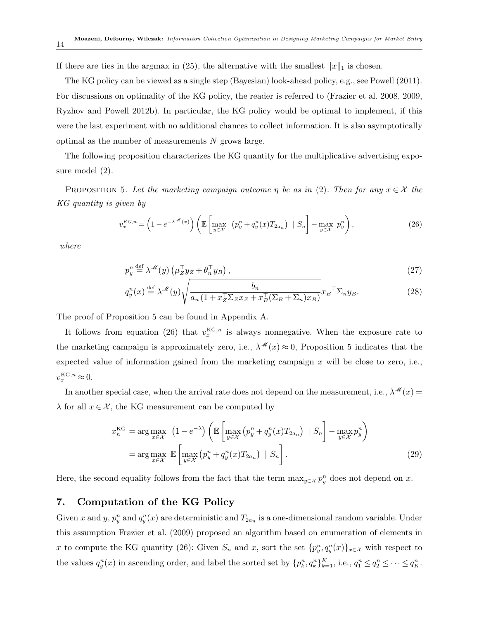If there are ties in the argmax in (25), the alternative with the smallest  $||x||_1$  is chosen.

The KG policy can be viewed as a single step (Bayesian) look-ahead policy, e.g., see Powell (2011). For discussions on optimality of the KG policy, the reader is referred to (Frazier et al. 2008, 2009, Ryzhov and Powell 2012b). In particular, the KG policy would be optimal to implement, if this were the last experiment with no additional chances to collect information. It is also asymptotically optimal as the number of measurements  $N$  grows large.

The following proposition characterizes the KG quantity for the multiplicative advertising exposure model (2).

PROPOSITION 5. Let the marketing campaign outcome η be as in (2). Then for any  $x \in \mathcal{X}$  the KG quantity is given by

$$
v_x^{KG,n} = \left(1 - e^{-\lambda^{\mathcal{M}}(x)}\right) \left(\mathbb{E}\left[\max_{y \in \mathcal{X}} \left(p_y^n + q_y^n(x)T_{2a_n}\right) \mid S_n\right] - \max_{y \in \mathcal{X}} p_y^n\right),\tag{26}
$$

where

$$
p_y^n \stackrel{\text{def}}{=} \lambda^{\mathcal{M}}(y) \left( \mu_Z^{\top} y_Z + \theta_n^{\top} y_B \right), \tag{27}
$$

$$
q_y^n(x) \stackrel{\text{def}}{=} \lambda^{\mathcal{M}}(y) \sqrt{\frac{b_n}{a_n \left(1 + x_Z^{\top} \Sigma_Z x_Z + x_B^{\top} (\Sigma_B + \Sigma_n) x_B\right)}} x_B^{\top} \Sigma_n y_B. \tag{28}
$$

The proof of Proposition 5 can be found in Appendix A.

It follows from equation (26) that  $v_x^{\text{KG},n}$  is always nonnegative. When the exposure rate to the marketing campaign is approximately zero, i.e.,  $\lambda^{\mathcal{M}}(x) \approx 0$ , Proposition 5 indicates that the expected value of information gained from the marketing campaign  $x$  will be close to zero, i.e.,  $v_{x}^{\text{KG},n} \approx 0.$ 

In another special case, when the arrival rate does not depend on the measurement, i.e.,  $\lambda^{\mathcal{M}}(x) =$  $\lambda$  for all  $x \in \mathcal{X}$ , the KG measurement can be computed by

$$
x_n^{\text{KG}} = \arg \max_{x \in \mathcal{X}} \left( 1 - e^{-\lambda} \right) \left( \mathbb{E} \left[ \max_{y \in \mathcal{X}} \left( p_y^n + q_y^n(x) T_{2a_n} \right) \mid S_n \right] - \max_{y \in \mathcal{X}} p_y^n \right)
$$
  
= 
$$
\arg \max_{x \in \mathcal{X}} \mathbb{E} \left[ \max_{y \in \mathcal{X}} \left( p_y^n + q_y^n(x) T_{2a_n} \right) \mid S_n \right].
$$
 (29)

Here, the second equality follows from the fact that the term  $\max_{y \in \mathcal{X}} p_y^n$  does not depend on x.

# 7. Computation of the KG Policy

Given x and y,  $p_y^n$  and  $q_y^n(x)$  are deterministic and  $T_{2a_n}$  is a one-dimensional random variable. Under this assumption Frazier et al. (2009) proposed an algorithm based on enumeration of elements in x to compute the KG quantity (26): Given  $S_n$  and x, sort the set  $\{p_y^n, q_y^n(x)\}_{x \in \mathcal{X}}$  with respect to the values  $q_y^n(x)$  in ascending order, and label the sorted set by  $\{p_k^n, q_k^n\}_{k=1}^K$ , i.e.,  $q_1^n \leq q_2^n \leq \cdots \leq q_K^n$ .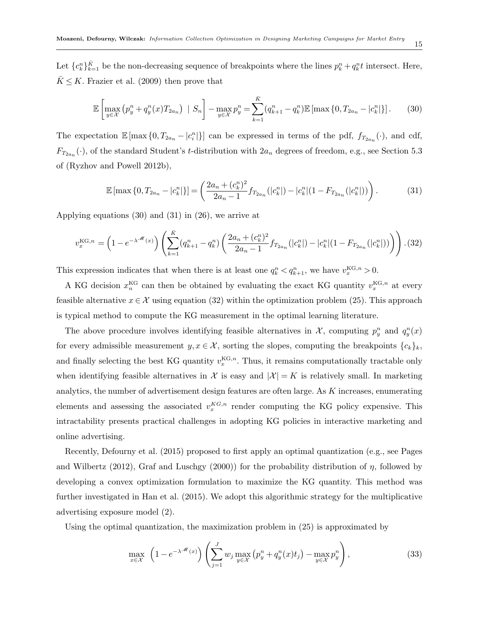Let  ${c_k^n}_{k=1}$  be the non-decreasing sequence of breakpoints where the lines  $p_k^n + q_k^n t$  intersect. Here,  $\bar{K} \leq K$ . Frazier et al. (2009) then prove that

$$
\mathbb{E}\left[\max_{y\in\mathcal{X}}\left(p_y^n + q_y^n(x)T_{2a_n}\right) \mid S_n\right] - \max_{y\in\mathcal{X}} p_y^n = \sum_{k=1}^K (q_{k+1}^n - q_k^n) \mathbb{E}\left[\max\left\{0, T_{2a_n} - |c_k^n|\right\}\right].\tag{30}
$$

The expectation  $\mathbb{E}[\max\{0,T_{2a_n}-|c_i^n|\}]$  can be expressed in terms of the pdf,  $f_{T_{2a_n}}(\cdot)$ , and cdf,  $F_{T_{2a_n}}(\cdot)$ , of the standard Student's t-distribution with  $2a_n$  degrees of freedom, e.g., see Section 5.3 of (Ryzhov and Powell 2012b),

$$
\mathbb{E}\left[\max\left\{0, T_{2a_n} - |c_k^n|\right\}\right] = \left(\frac{2a_n + (c_k^n)^2}{2a_n - 1} f_{T_{2a_n}}(|c_k^n|) - |c_k^n|(1 - F_{T_{2a_n}}(|c_k^n|))\right). \tag{31}
$$

Applying equations (30) and (31) in (26), we arrive at

$$
v_x^{\text{KG},n} = \left(1 - e^{-\lambda^{\mathcal{M}}(x)}\right) \left(\sum_{k=1}^{\bar{K}} (q_{k+1}^n - q_k^n) \left(\frac{2a_n + (c_k^n)^2}{2a_n - 1} f_{T_{2a_n}}(|c_k^n|) - |c_k^n| (1 - F_{T_{2a_n}}(|c_k^n|))\right)\right). (32)
$$

This expression indicates that when there is at least one  $q_k^n < q_{k+1}^n$ , we have  $v_x^{\text{KG},n} > 0$ .

A KG decision  $x_n^{\text{KG}}$  can then be obtained by evaluating the exact KG quantity  $v_x^{\text{KG},n}$  at every feasible alternative  $x \in \mathcal{X}$  using equation (32) within the optimization problem (25). This approach is typical method to compute the KG measurement in the optimal learning literature.

The above procedure involves identifying feasible alternatives in  $\mathcal{X}$ , computing  $p_y^n$  and  $q_y^n(x)$ for every admissible measurement  $y, x \in \mathcal{X}$ , sorting the slopes, computing the breakpoints  $\{c_k\}_k$ , and finally selecting the best KG quantity  $v_x^{\text{KG},n}$ . Thus, it remains computationally tractable only when identifying feasible alternatives in  $\mathcal X$  is easy and  $|\mathcal X| = K$  is relatively small. In marketing analytics, the number of advertisement design features are often large. As K increases, enumerating elements and assessing the associated  $v_x^{KG,n}$  render computing the KG policy expensive. This intractability presents practical challenges in adopting KG policies in interactive marketing and online advertising.

Recently, Defourny et al. (2015) proposed to first apply an optimal quantization (e.g., see Pages and Wilbertz (2012), Graf and Luschgy (2000)) for the probability distribution of  $\eta$ , followed by developing a convex optimization formulation to maximize the KG quantity. This method was further investigated in Han et al. (2015). We adopt this algorithmic strategy for the multiplicative advertising exposure model (2).

Using the optimal quantization, the maximization problem in (25) is approximated by

$$
\max_{x \in \mathcal{X}} \left( 1 - e^{-\lambda^{\mathcal{M}}(x)} \right) \left( \sum_{j=1}^{J} w_j \max_{y \in \mathcal{X}} \left( p_y^n + q_y^n(x) t_j \right) - \max_{y \in \mathcal{X}} p_y^n \right), \tag{33}
$$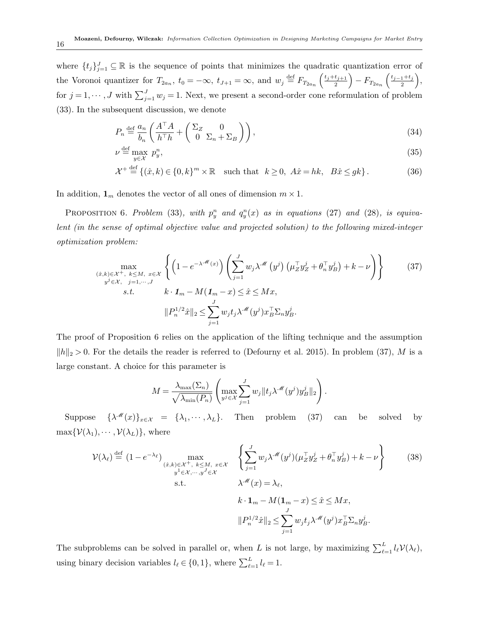where  $\{t_j\}_{j=1}^J \subseteq \mathbb{R}$  is the sequence of points that minimizes the quadratic quantization error of the Voronoi quantizer for  $T_{2a_n}$ ,  $t_0 = -\infty$ ,  $t_{J+1} = \infty$ , and  $w_j \stackrel{\text{def}}{=} F_{T_{2a_n}}\left(\frac{t_j + t_{j+1}}{2}\right)$  $\left(\frac{t_{j+1}}{2}\right) - F_{T_{2a_n}}\left(\frac{t_{j-1}+t_j}{2}\right)$  $\frac{1+t_j}{2}\Big),$ for  $j = 1, \dots, J$  with  $\sum_{j=1}^{J} w_j = 1$ . Next, we present a second-order cone reformulation of problem (33). In the subsequent discussion, we denote

$$
P_n \stackrel{\text{def}}{=} \frac{a_n}{b_n} \left( \frac{A^\top A}{h^\top h} + \begin{pmatrix} \Sigma_Z & 0\\ 0 & \Sigma_n + \Sigma_B \end{pmatrix} \right),\tag{34}
$$

$$
\nu \stackrel{\text{def}}{=} \max_{y \in \mathcal{X}} \ p_y^n,\tag{35}
$$

$$
\mathcal{X}^+ \stackrel{\text{def}}{=} \left\{ (\hat{x}, k) \in \{0, k\}^m \times \mathbb{R} \quad \text{such that} \quad k \ge 0, \ A\hat{x} = hk, \ B\hat{x} \le gk \right\}. \tag{36}
$$

In addition,  $\mathbf{1}_m$  denotes the vector of all ones of dimension  $m \times 1$ .

PROPOSITION 6. Problem (33), with  $p_y^n$  and  $q_y^n(x)$  as in equations (27) and (28), is equivalent (in the sense of optimal objective value and projected solution) to the following mixed-integer optimization problem:

$$
\max_{\substack{(\hat{x},k)\in\mathcal{X}^+, \ k\leq M, \ x\in\mathcal{X} \\ y^j\in\mathcal{X}, \ j=1,\cdots,J}} \left\{ \left(1 - e^{-\lambda^{\mathcal{M}}(x)}\right) \left(\sum_{j=1}^J w_j \lambda^{\mathcal{M}}\left(y^j\right) \left(\mu_Z^{\top} y_Z^j + \theta_n^{\top} y_B^j\right) + k - \nu\right) \right\} \tag{37}
$$
\n
$$
s.t. \qquad k \cdot \mathbf{1}_m - M(\mathbf{1}_m - x) \leq \hat{x} \leq Mx,
$$
\n
$$
||P_n^{1/2}\hat{x}||_2 \leq \sum_{j=1}^J w_j t_j \lambda^{\mathcal{M}}(y^j) x_B^{\top} \Sigma_n y_B^j.
$$

The proof of Proposition 6 relies on the application of the lifting technique and the assumption  $||h||_2 > 0$ . For the details the reader is referred to (Defourny et al. 2015). In problem (37), M is a large constant. A choice for this parameter is

$$
M = \frac{\lambda_{\max}(\Sigma_n)}{\sqrt{\lambda_{\min}(P_n)}} \left( \max_{y^j \in \mathcal{X}} \sum_{j=1}^J w_j \| t_j \lambda^{\mathcal{M}}(y^j) y_B^j \|_2 \right).
$$

Suppose  $\{\lambda^{\mathcal{M}}(x)\}_{x\in\mathcal{X}} = \{\lambda_1, \cdots, \lambda_L\}.$  Then problem (37) can be solved by  $\max\{\mathcal{V}(\lambda_1), \cdots, \mathcal{V}(\lambda_L)\}\$ , where

$$
\mathcal{V}(\lambda_{\ell}) \stackrel{\text{def}}{=} (1 - e^{-\lambda_{\ell}}) \max_{\substack{( \hat{x}, k) \in \mathcal{X}^+, \ k \le M, \ x \in \mathcal{X} \\ y^1 \in \mathcal{X}, \cdots, y^J \in \mathcal{X}}} \left\{ \sum_{j=1}^J w_j \lambda^{\mathcal{M}}(y^j) (\mu_Z^{\top} y_Z^j + \theta_n^{\top} y_B^j) + k - \nu \right\} \qquad (38)
$$
  
s.t. 
$$
\lambda^{\mathcal{M}}(x) = \lambda_{\ell},
$$

$$
k \cdot \mathbf{1}_m - M(\mathbf{1}_m - x) \le \hat{x} \le Mx,
$$

$$
||P_n^{1/2}\hat{x}||_2 \le \sum_{j=1}^J w_j t_j \lambda^{\mathcal{M}}(y^j) x_B^{\top} \Sigma_n y_B^j.
$$

The subproblems can be solved in parallel or, when L is not large, by maximizing  $\sum_{\ell=1}^L l_{\ell} \mathcal{V}(\lambda_{\ell}),$ using binary decision variables  $l_\ell \in \{0, 1\}$ , where  $\sum_{\ell=1}^L l_\ell = 1$ .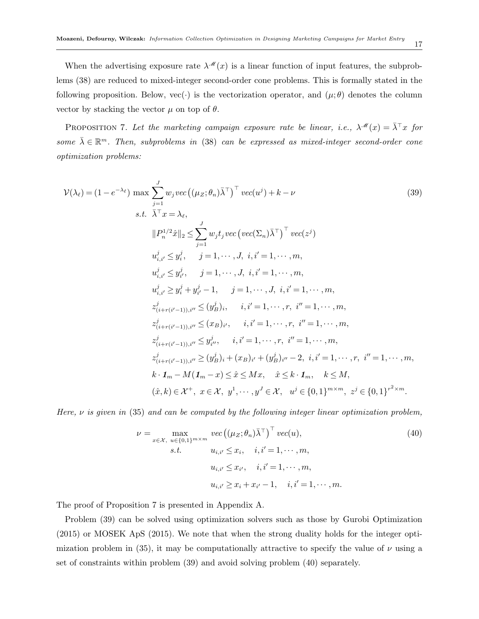When the advertising exposure rate  $\lambda^{\mathcal{M}}(x)$  is a linear function of input features, the subproblems (38) are reduced to mixed-integer second-order cone problems. This is formally stated in the following proposition. Below,  $vec(\cdot)$  is the vectorization operator, and  $(\mu;\theta)$  denotes the column vector by stacking the vector  $\mu$  on top of  $\theta$ .

PROPOSITION 7. Let the marketing campaign exposure rate be linear, i.e.,  $\lambda^{\mathcal{M}}(x) = \overline{\lambda}^{\top}x$  for some  $\bar{\lambda} \in \mathbb{R}^m$ . Then, subproblems in (38) can be expressed as mixed-integer second-order cone optimization problems:

$$
\mathcal{V}(\lambda_{\ell}) = (1 - e^{-\lambda_{\ell}}) \max \sum_{j=1}^{J} w_{j}vec((\mu_{Z}; \theta_{n})\overline{\lambda}^{+})^{\top} vec(u^{j}) + k - \nu
$$
\n(39)  
\ns.t.  $\overline{\lambda}^{\top} x = \lambda_{\ell}$ ,  
\n
$$
||P_{n}^{1/2}\hat{x}||_{2} \le \sum_{j=1}^{J} w_{j}t_{j}vec(vc(\Sigma_{n})\overline{\lambda}^{+})^{\top} vec(z^{j})
$$
\n
$$
u_{i,i'}^{j} \le y_{i}^{j}, \quad j = 1, \cdots, J, \quad i, i' = 1, \cdots, m,
$$
\n
$$
u_{i,i'}^{j} \ge y_{i'}^{j}, \quad j = 1, \cdots, J, \quad i, i' = 1, \cdots, m,
$$
\n
$$
u_{i,i'}^{j} \ge y_{i}^{j} + y_{i'}^{j} - 1, \quad j = 1, \cdots, J, \quad i, i' = 1, \cdots, m,
$$
\n
$$
z_{(i+r(i'-1)),i''}^{j} \le (y_{B}^{j})_{i}, \quad i, i' = 1, \cdots, r, \quad i'' = 1, \cdots, m,
$$
\n
$$
z_{(i+r(i'-1)),i''}^{j} \le (x_{B})_{i'}, \quad i, i' = 1, \cdots, r, \quad i'' = 1, \cdots, m,
$$
\n
$$
z_{(i+r(i'-1)),i''}^{j} \ge y_{i''}^{j}, \quad i, i' = 1, \cdots, r, \quad i'' = 1, \cdots, m,
$$
\n
$$
z_{(i+r(i'-1)),i''}^{j} \ge (y_{B}^{j})_{i} + (x_{B})_{i'} + (y_{B}^{j})_{i''} - 2, \quad i, i' = 1, \cdots, r, \quad i'' = 1, \cdots, m,
$$
\n
$$
k \cdot \mathbf{1}_{m} - M(\mathbf{1}_{m} - x) \le \hat{x} \le Mx, \quad \hat{x} \le k \cdot \mathbf{1}_{m}, \quad k \le M,
$$
\n
$$
(\hat{x}, k) \in \mathcal{X}^{+}, \quad x \in \mathcal{X}, \quad y
$$

Here,  $\nu$  is given in (35) and can be computed by the following integer linear optimization problem,

$$
\nu = \max_{x \in \mathcal{X}, \ u \in \{0, 1\}^{m \times m}} \text{vec}((\mu_Z; \theta_n)\bar{\lambda}^{\top})^{\top} \text{vec}(u),
$$
\n
$$
\text{s.t.} \quad u_{i, i'} \le x_i, \quad i, i' = 1, \cdots, m,
$$
\n
$$
u_{i, i'} \le x_{i'}, \quad i, i' = 1, \cdots, m,
$$
\n
$$
u_{i, i'} \ge x_i + x_{i'} - 1, \quad i, i' = 1, \cdots, m.
$$
\n(40)

The proof of Proposition 7 is presented in Appendix A.

Problem (39) can be solved using optimization solvers such as those by Gurobi Optimization (2015) or MOSEK ApS (2015). We note that when the strong duality holds for the integer optimization problem in (35), it may be computationally attractive to specify the value of  $\nu$  using a set of constraints within problem (39) and avoid solving problem (40) separately.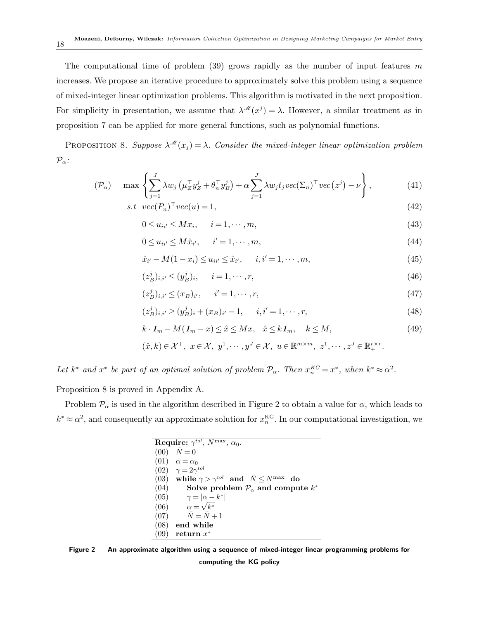The computational time of problem  $(39)$  grows rapidly as the number of input features m increases. We propose an iterative procedure to approximately solve this problem using a sequence of mixed-integer linear optimization problems. This algorithm is motivated in the next proposition. For simplicity in presentation, we assume that  $\lambda^{\mathscr{M}}(x^j) = \lambda$ . However, a similar treatment as in proposition 7 can be applied for more general functions, such as polynomial functions.

PROPOSITION 8. Suppose  $\lambda^{\mathcal{M}}(x_i) = \lambda$ . Consider the mixed-integer linear optimization problem  $\mathcal{P}_{\alpha}$ :

$$
(\mathcal{P}_{\alpha}) \quad \max \left\{ \sum_{j=1}^{J} \lambda w_j \left( \mu_Z^{\top} y_Z^j + \theta_n^{\top} y_B^j \right) + \alpha \sum_{j=1}^{J} \lambda w_j t_j \, vec(\Sigma_n)^{\top} vec(z^j) - \nu \right\},\tag{41}
$$

$$
s.t \ \ vec(P_n)^\top vec(u) = 1,\tag{42}
$$

$$
0 \le u_{ii'} \le Mx_i, \qquad i = 1, \cdots, m,\tag{43}
$$

$$
0 \le u_{ii'} \le M\hat{x}_{i'}, \qquad i'=1,\cdots,m,\tag{44}
$$

$$
\hat{x}_{i'} - M(1 - x_i) \le u_{ii'} \le \hat{x}_{i'}, \qquad i, i' = 1, \cdots, m,
$$
\n(45)

$$
(z_B^j)_{i,i'} \le (y_B^j)_i, \qquad i = 1, \cdots, r,\tag{46}
$$

$$
(z_B^j)_{i,i'} \le (x_B)_{i'}, \qquad i' = 1, \cdots, r,
$$
\n<sup>(47)</sup>

$$
(z_B^j)_{i,i'} \ge (y_B^j)_i + (x_B)_{i'} - 1, \qquad i, i' = 1, \cdots, r,
$$
\n(48)

$$
k \cdot \mathbf{1}_m - M(\mathbf{1}_m - x) \le \hat{x} \le Mx, \quad \hat{x} \le k \mathbf{1}_m, \quad k \le M,
$$
\n
$$
(49)
$$

$$
(\hat{x},k) \in \mathcal{X}^+, \ x \in \mathcal{X}, \ y^1, \cdots, y^J \in \mathcal{X}, \ u \in \mathbb{R}^{m \times m}, \ z^1, \cdots, z^J \in \mathbb{R}_+^{r \times r}.
$$

Let  $k^*$  and  $x^*$  be part of an optimal solution of problem  $\mathcal{P}_{\alpha}$ . Then  $x_n^{KG} = x^*$ , when  $k^* \approx \alpha^2$ .

Proposition 8 is proved in Appendix A.

18

Problem  $P_{\alpha}$  is used in the algorithm described in Figure 2 to obtain a value for  $\alpha$ , which leads to  $k^* \approx \alpha^2$ , and consequently an approximate solution for  $x_n^{\text{KG}}$ . In our computational investigation, we

|      | <b>Require:</b> $\gamma^{tol}$ , $N^{\max}$ , $\alpha_0$ .            |
|------|-----------------------------------------------------------------------|
|      | $(00)$ $N = 0$                                                        |
| (01) | $\alpha = \alpha_0$                                                   |
|      | (02) $\gamma = 2\gamma^{tol}$                                         |
|      | (03) while $\gamma > \gamma^{tol}$ and $\overline{N} \le N^{\max}$ do |
| (04) | Solve problem $P_{\alpha}$ and compute $k^*$                          |
|      | $(05)$ $\gamma =  \alpha - k^* $                                      |
|      | (06) $\alpha = \sqrt{k^*}$                                            |
|      | (07) $\bar{N} = \bar{N} + 1$                                          |
|      | $(08)$ end while                                                      |
|      | $(09)$ return $x^*$                                                   |

Figure 2 An approximate algorithm using a sequence of mixed-integer linear programming problems for computing the KG policy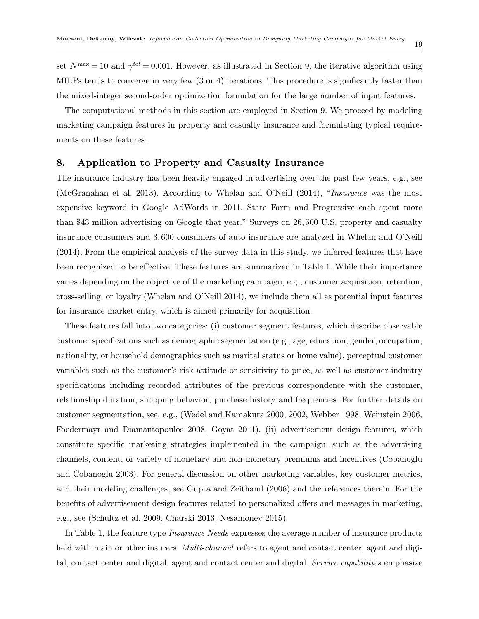set  $N^{\max} = 10$  and  $\gamma^{tol} = 0.001$ . However, as illustrated in Section 9, the iterative algorithm using MILPs tends to converge in very few (3 or 4) iterations. This procedure is significantly faster than the mixed-integer second-order optimization formulation for the large number of input features.

The computational methods in this section are employed in Section 9. We proceed by modeling marketing campaign features in property and casualty insurance and formulating typical requirements on these features.

# 8. Application to Property and Casualty Insurance

The insurance industry has been heavily engaged in advertising over the past few years, e.g., see (McGranahan et al. 2013). According to Whelan and O'Neill (2014), "Insurance was the most expensive keyword in Google AdWords in 2011. State Farm and Progressive each spent more than \$43 million advertising on Google that year." Surveys on 26, 500 U.S. property and casualty insurance consumers and 3, 600 consumers of auto insurance are analyzed in Whelan and O'Neill (2014). From the empirical analysis of the survey data in this study, we inferred features that have been recognized to be effective. These features are summarized in Table 1. While their importance varies depending on the objective of the marketing campaign, e.g., customer acquisition, retention, cross-selling, or loyalty (Whelan and O'Neill 2014), we include them all as potential input features for insurance market entry, which is aimed primarily for acquisition.

These features fall into two categories: (i) customer segment features, which describe observable customer specifications such as demographic segmentation (e.g., age, education, gender, occupation, nationality, or household demographics such as marital status or home value), perceptual customer variables such as the customer's risk attitude or sensitivity to price, as well as customer-industry specifications including recorded attributes of the previous correspondence with the customer, relationship duration, shopping behavior, purchase history and frequencies. For further details on customer segmentation, see, e.g., (Wedel and Kamakura 2000, 2002, Webber 1998, Weinstein 2006, Foedermayr and Diamantopoulos 2008, Goyat 2011). (ii) advertisement design features, which constitute specific marketing strategies implemented in the campaign, such as the advertising channels, content, or variety of monetary and non-monetary premiums and incentives (Cobanoglu and Cobanoglu 2003). For general discussion on other marketing variables, key customer metrics, and their modeling challenges, see Gupta and Zeithaml (2006) and the references therein. For the benefits of advertisement design features related to personalized offers and messages in marketing, e.g., see (Schultz et al. 2009, Charski 2013, Nesamoney 2015).

In Table 1, the feature type Insurance Needs expresses the average number of insurance products held with main or other insurers. *Multi-channel* refers to agent and contact center, agent and digital, contact center and digital, agent and contact center and digital. Service capabilities emphasize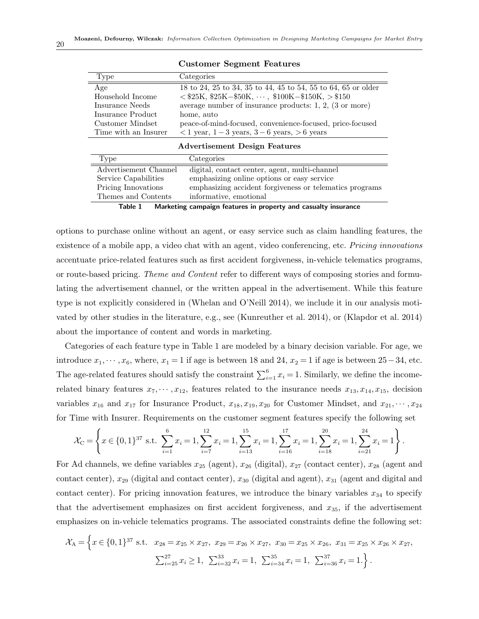| Type                 | Categories                                                        |
|----------------------|-------------------------------------------------------------------|
| Age                  | 18 to 24, 25 to 34, 35 to 44, 45 to 54, 55 to 64, 65 or older     |
| Household Income     | $\langle$ \$25K, \$25K-\$50K, $\cdots$ , \$100K-\$150K, $>$ \$150 |
| Insurance Needs      | average number of insurance products: $1, 2, (3 \text{ or more})$ |
| Insurance Product    | home, auto                                                        |
| Customer Mindset     | peace-of-mind-focused, convenience-focused, price-focused         |
| Time with an Insurer | $<$ 1 year, 1 – 3 years, 3 – 6 years, $>$ 6 years                 |
|                      | <b>Advertisement Design Features</b>                              |

Customer Segment Features

| Advertisement Design Features |                                                         |  |  |  |
|-------------------------------|---------------------------------------------------------|--|--|--|
| Type                          | Categories                                              |  |  |  |
| Advertisement Channel         | digital, contact center, agent, multi-channel           |  |  |  |
| Service Capabilities          | emphasizing online options or easy service              |  |  |  |
| Pricing Innovations           | emphasizing accident forgiveness or telematics programs |  |  |  |
| Themes and Contents           | informative, emotional                                  |  |  |  |
|                               |                                                         |  |  |  |

Table 1 Marketing campaign features in property and casualty insurance

options to purchase online without an agent, or easy service such as claim handling features, the existence of a mobile app, a video chat with an agent, video conferencing, etc. Pricing innovations accentuate price-related features such as first accident forgiveness, in-vehicle telematics programs, or route-based pricing. Theme and Content refer to different ways of composing stories and formulating the advertisement channel, or the written appeal in the advertisement. While this feature type is not explicitly considered in (Whelan and O'Neill 2014), we include it in our analysis motivated by other studies in the literature, e.g., see (Kunreuther et al. 2014), or (Klapdor et al. 2014) about the importance of content and words in marketing.

Categories of each feature type in Table 1 are modeled by a binary decision variable. For age, we introduce  $x_1, \dots, x_6$ , where,  $x_1 = 1$  if age is between 18 and 24,  $x_2 = 1$  if age is between 25−34, etc. The age-related features should satisfy the constraint  $\sum_{i=1}^{6} x_i = 1$ . Similarly, we define the incomerelated binary features  $x_7, \dots, x_{12}$ , features related to the insurance needs  $x_{13}, x_{14}, x_{15}$ , decision variables  $x_{16}$  and  $x_{17}$  for Insurance Product,  $x_{18}, x_{19}, x_{20}$  for Customer Mindset, and  $x_{21}, \dots, x_{24}$ for Time with Insurer. Requirements on the customer segment features specify the following set

$$
\mathcal{X}_{\mathcal{C}} = \left\{ x \in \{0, 1\}^{37} \text{ s.t. } \sum_{i=1}^{6} x_i = 1, \sum_{i=7}^{12} x_i = 1, \sum_{i=13}^{15} x_i = 1, \sum_{i=16}^{17} x_i = 1, \sum_{i=18}^{20} x_i = 1, \sum_{i=21}^{24} x_i = 1 \right\}.
$$

For Ad channels, we define variables  $x_{25}$  (agent),  $x_{26}$  (digital),  $x_{27}$  (contact center),  $x_{28}$  (agent and contact center),  $x_{29}$  (digital and contact center),  $x_{30}$  (digital and agent),  $x_{31}$  (agent and digital and contact center). For pricing innovation features, we introduce the binary variables  $x_{34}$  to specify that the advertisement emphasizes on first accident forgiveness, and  $x_{35}$ , if the advertisement emphasizes on in-vehicle telematics programs. The associated constraints define the following set:

$$
\mathcal{X}_{A} = \left\{ x \in \{0, 1\}^{37} \text{ s.t. } x_{28} = x_{25} \times x_{27}, x_{29} = x_{26} \times x_{27}, x_{30} = x_{25} \times x_{26}, x_{31} = x_{25} \times x_{26} \times x_{27}, \right.
$$

$$
\sum_{i=25}^{27} x_{i} \ge 1, \sum_{i=32}^{33} x_{i} = 1, \sum_{i=34}^{35} x_{i} = 1, \sum_{i=36}^{37} x_{i} = 1. \right\}.
$$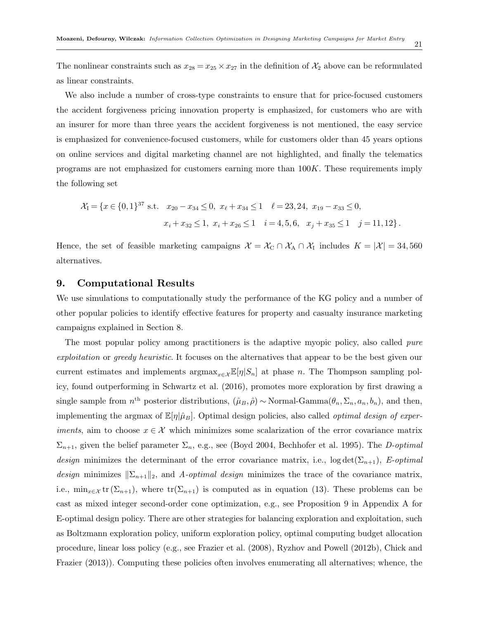The nonlinear constraints such as  $x_{28} = x_{25} \times x_{27}$  in the definition of  $\mathcal{X}_2$  above can be reformulated as linear constraints.

We also include a number of cross-type constraints to ensure that for price-focused customers the accident forgiveness pricing innovation property is emphasized, for customers who are with an insurer for more than three years the accident forgiveness is not mentioned, the easy service is emphasized for convenience-focused customers, while for customers older than 45 years options on online services and digital marketing channel are not highlighted, and finally the telematics programs are not emphasized for customers earning more than  $100K$ . These requirements imply the following set

$$
\mathcal{X}_I = \{x \in \{0, 1\}^{37} \text{ s.t. } x_{20} - x_{34} \le 0, \ x_{\ell} + x_{34} \le 1 \quad \ell = 23, 24, \ x_{19} - x_{33} \le 0, \n x_i + x_{32} \le 1, \ x_i + x_{26} \le 1 \quad i = 4, 5, 6, \ x_j + x_{35} \le 1 \quad j = 11, 12\}.
$$

Hence, the set of feasible marketing campaigns  $\mathcal{X} = \mathcal{X}_C \cap \mathcal{X}_A \cap \mathcal{X}_I$  includes  $K = |\mathcal{X}| = 34,560$ alternatives.

# 9. Computational Results

We use simulations to computationally study the performance of the KG policy and a number of other popular policies to identify effective features for property and casualty insurance marketing campaigns explained in Section 8.

The most popular policy among practitioners is the adaptive myopic policy, also called *pure* exploitation or greedy heuristic. It focuses on the alternatives that appear to be the best given our current estimates and implements  $\argmax_{x \in \mathcal{X}} \mathbb{E}[\eta|S_n]$  at phase *n*. The Thompson sampling policy, found outperforming in Schwartz et al. (2016), promotes more exploration by first drawing a single sample from  $n^{\text{th}}$  posterior distributions,  $(\hat{\mu}_B, \hat{\rho}) \sim \text{Normal-Gamma}(\theta_n, \Sigma_n, a_n, b_n)$ , and then, implementing the argmax of  $\mathbb{E}[\eta|\hat{\mu}_B]$ . Optimal design policies, also called *optimal design of experiments*, aim to choose  $x \in \mathcal{X}$  which minimizes some scalarization of the error covariance matrix  $\Sigma_{n+1}$ , given the belief parameter  $\Sigma_n$ , e.g., see (Boyd 2004, Bechhofer et al. 1995). The *D-optimal* design minimizes the determinant of the error covariance matrix, i.e.,  $log det(\Sigma_{n+1}), E-optimal$ design minimizes  $\|\Sigma_{n+1}\|_2$ , and A-optimal design minimizes the trace of the covariance matrix, i.e.,  $\min_{x \in \mathcal{X}} \text{tr}(\Sigma_{n+1}),$  where  $\text{tr}(\Sigma_{n+1})$  is computed as in equation (13). These problems can be cast as mixed integer second-order cone optimization, e.g., see Proposition 9 in Appendix A for E-optimal design policy. There are other strategies for balancing exploration and exploitation, such as Boltzmann exploration policy, uniform exploration policy, optimal computing budget allocation procedure, linear loss policy (e.g., see Frazier et al. (2008), Ryzhov and Powell (2012b), Chick and Frazier (2013)). Computing these policies often involves enumerating all alternatives; whence, the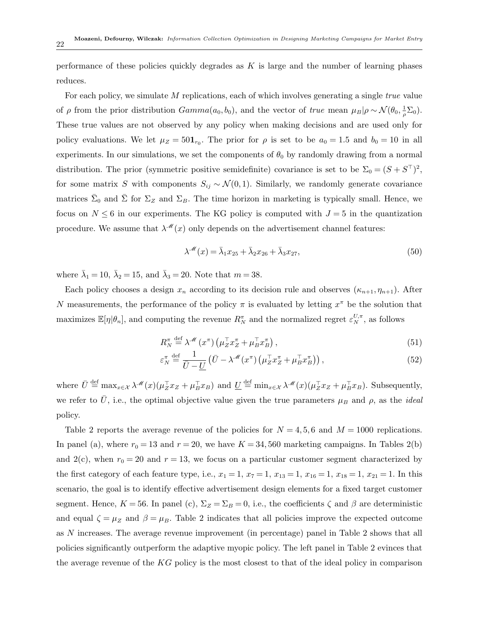performance of these policies quickly degrades as  $K$  is large and the number of learning phases reduces.

For each policy, we simulate M replications, each of which involves generating a single true value of  $\rho$  from the prior distribution  $Gamma(a_0, b_0)$ , and the vector of true mean  $\mu_B|\rho \sim \mathcal{N}(\theta_0, \frac{1}{a})$  $\frac{1}{\rho}\Sigma_0$ ). These true values are not observed by any policy when making decisions and are used only for policy evaluations. We let  $\mu_Z = 501_{r_0}$ . The prior for  $\rho$  is set to be  $a_0 = 1.5$  and  $b_0 = 10$  in all experiments. In our simulations, we set the components of  $\theta_0$  by randomly drawing from a normal distribution. The prior (symmetric positive semidefinite) covariance is set to be  $\Sigma_0 = (S + S^{\top})^2$ , for some matrix S with components  $S_{ij} \sim \mathcal{N}(0, 1)$ . Similarly, we randomly generate covariance matrices  $\bar{\Sigma}_0$  and  $\bar{\Sigma}$  for  $\Sigma_Z$  and  $\Sigma_B$ . The time horizon in marketing is typically small. Hence, we focus on  $N \leq 6$  in our experiments. The KG policy is computed with  $J = 5$  in the quantization procedure. We assume that  $\lambda^{\mathcal{M}}(x)$  only depends on the advertisement channel features:

$$
\lambda^{\mathcal{M}}(x) = \bar{\lambda}_1 x_{25} + \bar{\lambda}_2 x_{26} + \bar{\lambda}_3 x_{27},\tag{50}
$$

where  $\bar{\lambda}_1 = 10$ ,  $\bar{\lambda}_2 = 15$ , and  $\bar{\lambda}_3 = 20$ . Note that  $m = 38$ .

22

Each policy chooses a design  $x_n$  according to its decision rule and observes  $(\kappa_{n+1}, \eta_{n+1})$ . After N measurements, the performance of the policy  $\pi$  is evaluated by letting  $x^{\pi}$  be the solution that maximizes  $\mathbb{E}[\eta|\theta_n]$ , and computing the revenue  $R_N^{\pi}$  and the normalized regret  $\varepsilon_N^{U,\pi}$ , as follows

$$
R_N^{\pi} \stackrel{\text{def}}{=} \lambda^{\mathscr{M}}(x^{\pi}) \left( \mu_Z^{\top} x_Z^{\pi} + \mu_B^{\top} x_B^{\pi} \right), \tag{51}
$$

$$
\varepsilon_N^{\pi} \stackrel{\text{def}}{=} \frac{1}{\bar{U} - \underline{U}} \left( \bar{U} - \lambda^{\mathcal{M}} (x^{\pi}) \left( \mu_Z^{\top} x_Z^{\pi} + \mu_B^{\top} x_B^{\pi} \right) \right),\tag{52}
$$

where  $\bar{U} \stackrel{\text{def}}{=} \max_{x \in \mathcal{X}} \lambda^{\mathcal{M}}(x) (\mu_Z^{\top} x_Z + \mu_B^{\top} x_B)$  and  $\underline{U} \stackrel{\text{def}}{=} \min_{x \in \mathcal{X}} \lambda^{\mathcal{M}}(x) (\mu_Z^{\top} x_Z + \mu_B^{\top} x_B)$ . Subsequently, we refer to  $\bar{U}$ , i.e., the optimal objective value given the true parameters  $\mu_B$  and  $\rho$ , as the *ideal* policy.

Table 2 reports the average revenue of the policies for  $N = 4, 5, 6$  and  $M = 1000$  replications. In panel (a), where  $r_0 = 13$  and  $r = 20$ , we have  $K = 34,560$  marketing campaigns. In Tables 2(b) and 2(c), when  $r_0 = 20$  and  $r = 13$ , we focus on a particular customer segment characterized by the first category of each feature type, i.e.,  $x_1 = 1, x_7 = 1, x_{13} = 1, x_{16} = 1, x_{18} = 1, x_{21} = 1$ . In this scenario, the goal is to identify effective advertisement design elements for a fixed target customer segment. Hence,  $K = 56$ . In panel (c),  $\Sigma_Z = \Sigma_B = 0$ , i.e., the coefficients  $\zeta$  and  $\beta$  are deterministic and equal  $\zeta = \mu_Z$  and  $\beta = \mu_B$ . Table 2 indicates that all policies improve the expected outcome as N increases. The average revenue improvement (in percentage) panel in Table 2 shows that all policies significantly outperform the adaptive myopic policy. The left panel in Table 2 evinces that the average revenue of the  $KG$  policy is the most closest to that of the ideal policy in comparison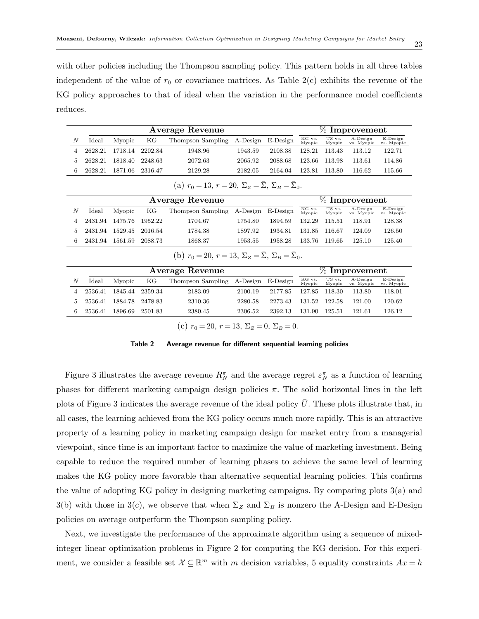with other policies including the Thompson sampling policy. This pattern holds in all three tables independent of the value of  $r_0$  or covariance matrices. As Table  $2(c)$  exhibits the revenue of the KG policy approaches to that of ideal when the variation in the performance model coefficients reduces.

| Average Revenue |         |         |         |                                                                                       |         |         |                  | $%$ Improvement  |                        |                        |
|-----------------|---------|---------|---------|---------------------------------------------------------------------------------------|---------|---------|------------------|------------------|------------------------|------------------------|
| N               | Ideal   | Mvopic  | ΚG      | Thompson Sampling A-Design E-Design                                                   |         |         | KG vs.<br>Myopic | TS vs.<br>Myopic | A-Design<br>vs. Myopic | E-Design<br>vs. Myopic |
|                 | 2628.21 | 1718.14 | 2202.84 | 1948.96                                                                               | 1943.59 | 2108.38 | 128.21           | 113.43           | 113.12                 | 122.71                 |
| 5.              | 2628.21 | 1818.40 | 2248.63 | 2072.63                                                                               | 2065.92 | 2088.68 | 123.66           | 113.98           | 113.61                 | 114.86                 |
| 6               | 2628.21 | 1871.06 | 2316.47 | 2129.28                                                                               | 2182.05 | 2164.04 | 123.81           | 113.80           | 116.62                 | 115.66                 |
|                 |         |         |         | (a) $r_0 = 13, r = 20, \Sigma_Z = \overline{\Sigma}, \Sigma_B = \overline{\Sigma}_0.$ |         |         |                  |                  |                        |                        |

|   | Average Revenue |         |         |                                     |         |         |                  |                  | $%$ Improvement        |                        |
|---|-----------------|---------|---------|-------------------------------------|---------|---------|------------------|------------------|------------------------|------------------------|
| N | Ideal           | Mvopic  | ΚG      | Thompson Sampling A-Design E-Design |         |         | KG vs.<br>Mvopic | TS vs.<br>Mvopic | A-Design<br>vs. Myopic | E-Design<br>vs. Myopic |
|   | 2431.94         | 1475.76 | 1952.22 | 1704.67                             | 1754.80 | 1894.59 | 132.29           | 115.51           | 118.91                 | 128.38                 |
|   | 2431.94         | 1529.45 | 2016.54 | 1784.38                             | 1897.92 | 1934.81 | 131.85           | -116.67          | 124.09                 | 126.50                 |
|   | 2431.94         | 1561.59 | 2088.73 | 1868.37                             | 1953.55 | 1958.28 | 133.76           | 119.65           | 125.10                 | 125.40                 |

| (b) $r_0 = 20, r = 13, \Sigma_Z = \bar{\Sigma}, \Sigma_B = \bar{\Sigma}_0.$ |  |  |
|-----------------------------------------------------------------------------|--|--|

|               | Average Revenue |         |         |                                     |         | $%$ Improvement |                  |                  |                        |                        |
|---------------|-----------------|---------|---------|-------------------------------------|---------|-----------------|------------------|------------------|------------------------|------------------------|
| N             | Ideal           | Mvopic  | ΚG      | Thompson Sampling A-Design E-Design |         |                 | KG vs.<br>Mvopic | TS vs.<br>Myopic | A-Design<br>vs. Myopic | E-Design<br>vs. Myopic |
|               | 2536.41         | 1845.44 | 2359.34 | 2183.09                             | 2100.19 | 2177.85         | 127.85           | 118.30           | 113.80                 | 118.01                 |
| $\mathcal{D}$ | 2536.41         | 1884.78 | 2478.83 | 2310.36                             | 2280.58 | 2273.43         | 131.52           | 122.58           | 121.00                 | 120.62                 |
| 6             | 2536.41         | 1896.69 | 2501.83 | 2380.45                             | 2306.52 | 2392.13         | 131.90           | 125.51           | 121.61                 | 126.12                 |
|               |                 |         |         |                                     |         |                 |                  |                  |                        |                        |

(c)  $r_0 = 20, r = 13, \Sigma_Z = 0, \Sigma_B = 0.$ 

Table 2 Average revenue for different sequential learning policies

Figure 3 illustrates the average revenue  $R_N^{\pi}$  and the average regret  $\varepsilon_N^{\pi}$  as a function of learning phases for different marketing campaign design policies  $\pi$ . The solid horizontal lines in the left plots of Figure 3 indicates the average revenue of the ideal policy  $\bar{U}$ . These plots illustrate that, in all cases, the learning achieved from the KG policy occurs much more rapidly. This is an attractive property of a learning policy in marketing campaign design for market entry from a managerial viewpoint, since time is an important factor to maximize the value of marketing investment. Being capable to reduce the required number of learning phases to achieve the same level of learning makes the KG policy more favorable than alternative sequential learning policies. This confirms the value of adopting KG policy in designing marketing campaigns. By comparing plots 3(a) and 3(b) with those in 3(c), we observe that when  $\Sigma_Z$  and  $\Sigma_B$  is nonzero the A-Design and E-Design policies on average outperform the Thompson sampling policy.

Next, we investigate the performance of the approximate algorithm using a sequence of mixedinteger linear optimization problems in Figure 2 for computing the KG decision. For this experiment, we consider a feasible set  $\mathcal{X} \subseteq \mathbb{R}^m$  with m decision variables, 5 equality constraints  $Ax = h$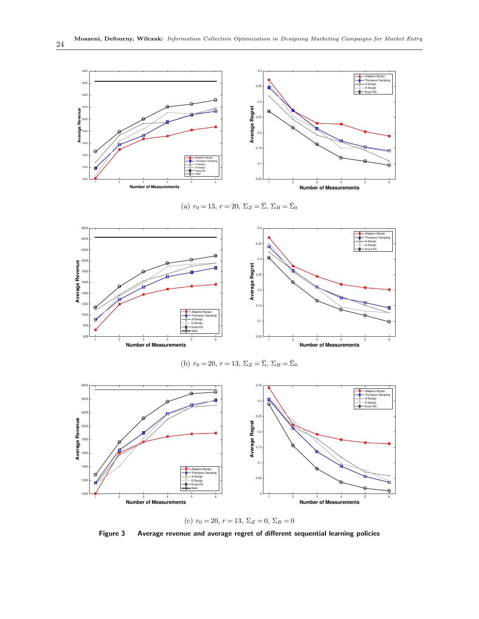

(a)  $r_0 = 13, r = 20, \Sigma_Z = \bar{\Sigma}, \Sigma_B = \bar{\Sigma}_0$ 



(b) 
$$
r_0 = 20, r = 13, \Sigma_Z = \bar{\Sigma}, \Sigma_B = \bar{\Sigma}_0
$$



(c) 
$$
r_0 = 20, r = 13, \Sigma_Z = 0, \Sigma_B = 0
$$

Figure 3 Average revenue and average regret of different sequential learning policies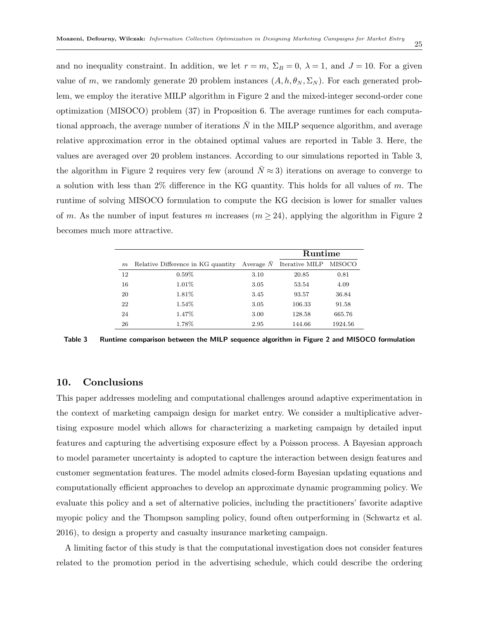and no inequality constraint. In addition, we let  $r = m$ ,  $\Sigma_B = 0$ ,  $\lambda = 1$ , and  $J = 10$ . For a given value of m, we randomly generate 20 problem instances  $(A, h, \theta_N, \Sigma_N)$ . For each generated problem, we employ the iterative MILP algorithm in Figure 2 and the mixed-integer second-order cone optimization (MISOCO) problem (37) in Proposition 6. The average runtimes for each computational approach, the average number of iterations  $\overline{N}$  in the MILP sequence algorithm, and average relative approximation error in the obtained optimal values are reported in Table 3. Here, the values are averaged over 20 problem instances. According to our simulations reported in Table 3, the algorithm in Figure 2 requires very few (around  $\bar{N} \approx 3$ ) iterations on average to converge to a solution with less than 2% difference in the KG quantity. This holds for all values of m. The runtime of solving MISOCO formulation to compute the KG decision is lower for smaller values of m. As the number of input features m increases  $(m \geq 24)$ , applying the algorithm in Figure 2 becomes much more attractive.

|    |                                                |      | <b>Runtime</b> |         |  |
|----|------------------------------------------------|------|----------------|---------|--|
| m  | Relative Difference in KG quantity Average $N$ |      | Iterative MILP | MISOCO  |  |
| 12 | $0.59\%$                                       | 3.10 | 20.85          | 0.81    |  |
| 16 | 1.01\%                                         | 3.05 | 53.54          | 4.09    |  |
| 20 | 1.81\%                                         | 3.45 | 93.57          | 36.84   |  |
| 22 | 1.54%                                          | 3.05 | 106.33         | 91.58   |  |
| 24 | 1.47%                                          | 3.00 | 128.58         | 665.76  |  |
| 26 | 1.78%                                          | 2.95 | 144.66         | 1924.56 |  |

Table 3 Runtime comparison between the MILP sequence algorithm in Figure 2 and MISOCO formulation

# 10. Conclusions

This paper addresses modeling and computational challenges around adaptive experimentation in the context of marketing campaign design for market entry. We consider a multiplicative advertising exposure model which allows for characterizing a marketing campaign by detailed input features and capturing the advertising exposure effect by a Poisson process. A Bayesian approach to model parameter uncertainty is adopted to capture the interaction between design features and customer segmentation features. The model admits closed-form Bayesian updating equations and computationally efficient approaches to develop an approximate dynamic programming policy. We evaluate this policy and a set of alternative policies, including the practitioners' favorite adaptive myopic policy and the Thompson sampling policy, found often outperforming in (Schwartz et al. 2016), to design a property and casualty insurance marketing campaign.

A limiting factor of this study is that the computational investigation does not consider features related to the promotion period in the advertising schedule, which could describe the ordering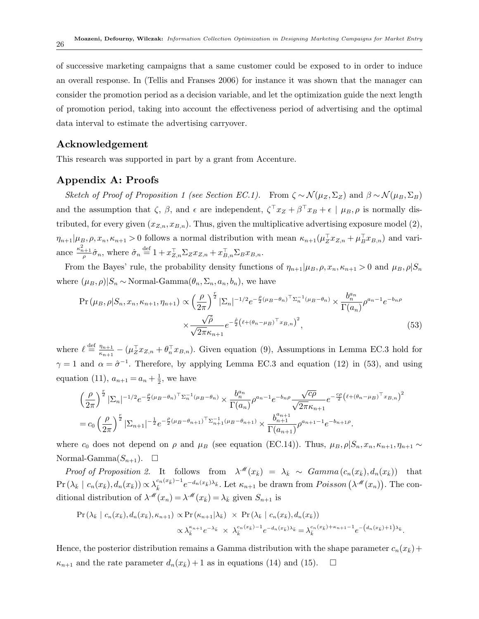of successive marketing campaigns that a same customer could be exposed to in order to induce an overall response. In (Tellis and Franses 2006) for instance it was shown that the manager can consider the promotion period as a decision variable, and let the optimization guide the next length of promotion period, taking into account the effectiveness period of advertising and the optimal data interval to estimate the advertising carryover.

### Acknowledgement

26

This research was supported in part by a grant from Accenture.

# Appendix A: Proofs

Sketch of Proof of Proposition 1 (see Section EC.1). From  $\zeta \sim \mathcal{N}(\mu_Z, \Sigma_Z)$  and  $\beta \sim \mathcal{N}(\mu_B, \Sigma_B)$ and the assumption that  $\zeta$ ,  $\beta$ , and  $\epsilon$  are independent,  $\zeta^{\top} x_Z + \beta^{\top} x_B + \epsilon \mid \mu_B, \rho$  is normally distributed, for every given  $(x_{Z,n}, x_{B,n})$ . Thus, given the multiplicative advertising exposure model (2),  $\eta_{n+1}|\mu_B,\rho,x_n,\kappa_{n+1} > 0$  follows a normal distribution with mean  $\kappa_{n+1}(\mu_Z^{\top}x_{Z,n} + \mu_B^{\top}x_{B,n})$  and variance  $\frac{\kappa_{n+1}^2}{\rho} \hat{\sigma}_n$ , where  $\hat{\sigma}_n \stackrel{\text{def}}{=} 1 + x_{Z,n}^\top \Sigma_Z x_{Z,n} + x_{B,n}^\top \Sigma_B x_{B,n}$ .

From the Bayes' rule, the probability density functions of  $\eta_{n+1}|\mu_B, \rho, x_n, \kappa_{n+1} > 0$  and  $\mu_B, \rho|S_n$ where  $(\mu_B, \rho)|S_n \sim \text{Normal-Gamma}(\theta_n, \Sigma_n, a_n, b_n)$ , we have

$$
\Pr(\mu_B, \rho | S_n, x_n, \kappa_{n+1}, \eta_{n+1}) \propto \left(\frac{\rho}{2\pi}\right)^{\frac{r}{2}} |\Sigma_n|^{-1/2} e^{-\frac{\rho}{2}(\mu_B - \theta_n)^{\top} \Sigma_n^{-1}(\mu_B - \theta_n)} \times \frac{b_n^{a_n}}{\Gamma(a_n)} \rho^{a_n - 1} e^{-b_n \rho} \times \frac{\sqrt{\hat{\rho}}}{\sqrt{2\pi \kappa_{n+1}}} e^{-\frac{\hat{\rho}}{2}(\ell + (\theta_n - \mu_B)^{\top} x_{B,n})^2}, \tag{53}
$$

where  $\ell \stackrel{\text{def}}{=} \frac{\eta_{n+1}}{k+1}$  $\frac{\eta_{n+1}}{\kappa_{n+1}} - (\mu_Z^{\top} x_{Z,n} + \theta_n^{\top} x_{B,n}).$  Given equation (9), Assumptions in Lemma EC.3 hold for  $\gamma = 1$  and  $\alpha = \hat{\sigma}^{-1}$ . Therefore, by applying Lemma EC.3 and equation (12) in (53), and using equation (11),  $a_{n+1} = a_n + \frac{1}{2}$  $\frac{1}{2}$ , we have

$$
\left(\frac{\rho}{2\pi}\right)^{\frac{r}{2}} |\Sigma_n|^{-1/2} e^{-\frac{\rho}{2}(\mu_B - \theta_n)^{\top} \Sigma_n^{-1}(\mu_B - \theta_n)} \times \frac{b_n^{a_n}}{\Gamma(a_n)} \rho^{a_n - 1} e^{-b_n \rho} \frac{\sqrt{c\rho}}{\sqrt{2\pi} \kappa_{n+1}} e^{-\frac{c\rho}{2} \left(\ell + (\theta_n - \mu_B)^{\top} x_{B,n}\right)^2}
$$
  
=  $c_0 \left(\frac{\rho}{2\pi}\right)^{\frac{r}{2}} |\Sigma_{n+1}|^{-\frac{1}{2}} e^{-\frac{\rho}{2}(\mu_B - \theta_{n+1})^{\top} \Sigma_{n+1}^{-1}(\mu_B - \theta_{n+1})} \times \frac{b_{n+1}^{a_{n+1}}}{\Gamma(a_{n+1})} \rho^{a_{n+1}-1} e^{-b_{n+1}\rho}.$ 

where  $c_0$  does not depend on  $\rho$  and  $\mu_B$  (see equation (EC.14)). Thus,  $\mu_B, \rho | S_n, x_n, \kappa_{n+1}, \eta_{n+1} \sim$ Normal-Gamma $(S_{n+1})$ .  $\Box$ 

Proof of Proposition 2. It follows from  $\lambda^{\mathcal{M}}(x_{\bar{k}}) = \lambda_{\bar{k}} \sim Gamma(c_n(x_{\bar{k}}), d_n(x_{\bar{k}}))$  that  $\Pr(\lambda_{\bar{k}} \mid c_n(x_{\bar{k}}), d_n(x_{\bar{k}})) \propto \lambda_{\bar{k}}^{c_n(x_{\bar{k}})-1} e^{-d_n(x_{\bar{k}})\lambda_{\bar{k}}}$ . Let  $\kappa_{n+1}$  be drawn from  $Poisson\left(\lambda^{\mathscr{M}}(x_n)\right)$ . The conditional distribution of  $\lambda^{\mathcal{M}}(x_n) = \lambda^{\mathcal{M}}(x_{\bar{k}}) = \lambda_{\bar{k}}$  given  $S_{n+1}$  is

$$
\Pr(\lambda_{\bar{k}} \mid c_n(x_{\bar{k}}), d_n(x_{\bar{k}}), \kappa_{n+1}) \propto \Pr(\kappa_{n+1} | \lambda_{\bar{k}}) \times \Pr(\lambda_{\bar{k}} \mid c_n(x_{\bar{k}}), d_n(x_{\bar{k}})) \propto \lambda_{\bar{k}}^{\kappa_{n+1}} e^{-\lambda_{\bar{k}}} \times \lambda_{\bar{k}}^{c_n(x_{\bar{k}})-1} e^{-d_n(x_{\bar{k}})\lambda_{\bar{k}}} = \lambda_{\bar{k}}^{c_n(x_{\bar{k}})+\kappa_{n+1}-1} e^{-\left(d_n(x_{\bar{k}})+1\right)\lambda_{\bar{k}}}.
$$

Hence, the posterior distribution remains a Gamma distribution with the shape parameter  $c_n(x_{\bar{k}})$  +  $\kappa_{n+1}$  and the rate parameter  $d_n(x_{\bar{k}})+1$  as in equations (14) and (15).  $\Box$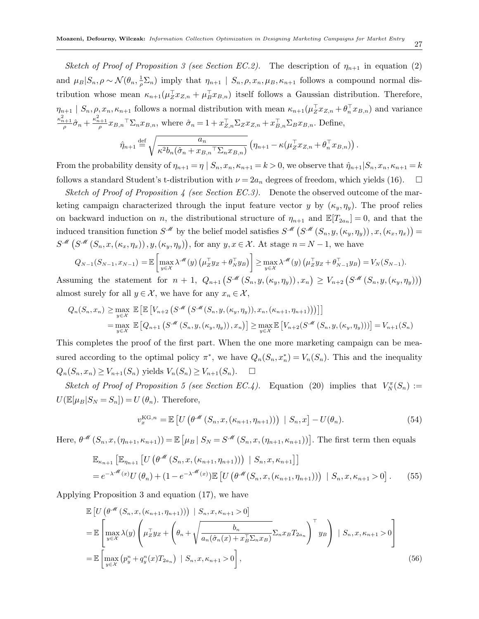Sketch of Proof of Proposition 3 (see Section EC.2). The description of  $\eta_{n+1}$  in equation (2) and  $\mu_B|S_n, \rho \sim \mathcal{N}(\theta_n, \frac{1}{\rho})$  $\frac{1}{\rho} \sum_n$ ) imply that  $\eta_{n+1}$  |  $S_n, \rho, x_n, \mu_B, \kappa_{n+1}$  follows a compound normal distribution whose mean  $\kappa_{n+1}(\mu_Z^T x_{Z,n} + \mu_B^T x_{B,n})$  itself follows a Gaussian distribution. Therefore,  $\eta_{n+1} \mid S_n, \rho, x_n, \kappa_{n+1}$  follows a normal distribution with mean  $\kappa_{n+1}(\mu_Z^{\top} x_{Z,n} + \theta_n^{\top} x_{B,n})$  and variance  $\frac{\kappa_{n+1}^2}{\rho}\hat{\sigma}_n + \frac{\kappa_{n+1}^2}{\rho}x_{B,n}^\top \Sigma_n x_{B,n}$ , where  $\hat{\sigma}_n = 1 + x_{Z,n}^\top \Sigma_Z x_{Z,n} + x_{B,n}^\top \Sigma_B x_{B,n}$ . Define,

$$
\hat{\eta}_{n+1} \stackrel{\text{def}}{=} \sqrt{\frac{a_n}{\kappa^2 b_n(\hat{\sigma}_n + x_{B,n}^\top \Sigma_n x_{B,n})}} \left( \eta_{n+1} - \kappa (\mu_Z^\top x_{Z,n} + \theta_n^\top x_{B,n}) \right).
$$

From the probability density of  $\eta_{n+1} = \eta \mid S_n, x_n, \kappa_{n+1} = k > 0$ , we observe that  $\hat{\eta}_{n+1} \mid S_n, x_n, \kappa_{n+1} = k$ follows a standard Student's t-distribution with  $\nu = 2a_n$  degrees of freedom, which yields (16).  $\Box$ 

Sketch of Proof of Proposition 4 (see Section  $EC.3$ ). Denote the observed outcome of the marketing campaign characterized through the input feature vector y by  $(\kappa_y, \eta_y)$ . The proof relies on backward induction on n, the distributional structure of  $\eta_{n+1}$  and  $\mathbb{E}[T_{2a_n}] = 0$ , and that the induced transition function  $S^{\mathcal{M}}$  by the belief model satisfies  $S^{\mathcal{M}}(S^{\mathcal{M}}(S_n, y, (\kappa_y, \eta_y)), x, (\kappa_x, \eta_x)) =$  $S^{\mathcal{M}}\left(S^{\mathcal{M}}\left(S_{n},x,\kappa,\left(\kappa_{x},\eta_{x}\right)\right),y,\left(\kappa_{y},\eta_{y}\right)\right),$  for any  $y,x\in\mathcal{X}$ . At stage  $n=N-1$ , we have

$$
Q_{N-1}(S_{N-1}, x_{N-1}) = \mathbb{E}\left[\max_{y \in \mathcal{X}} \lambda^{\mathcal{M}}(y) \left(\mu_{Z}^{\top} y_{Z} + \theta_{N}^{\top} y_{B}\right)\right] \geq \max_{y \in \mathcal{X}} \lambda^{\mathcal{M}}(y) \left(\mu_{Z}^{\top} y_{Z} + \theta_{N-1}^{\top} y_{B}\right) = V_{N}(S_{N-1}).
$$

Assuming the statement for  $n+1$ ,  $Q_{n+1} (S^{\mathcal{M}}(S_n, y, (\kappa_y, \eta_y)), x_n) \geq V_{n+2} (S^{\mathcal{M}}(S_n, y, (\kappa_y, \eta_y)))$ almost surely for all  $y \in \mathcal{X}$ , we have for any  $x_n \in \mathcal{X}$ ,

$$
Q_n(S_n, x_n) \ge \max_{y \in \mathcal{X}} \mathbb{E} \left[ \mathbb{E} \left[ V_{n+2} \left( S^{\mathcal{M}} \left( S_n, y, (\kappa_y, \eta_y) \right), x_n, (\kappa_{n+1}, \eta_{n+1}) \right) \right) \right] \right]
$$
  
=  $\max_{y \in \mathcal{X}} \mathbb{E} \left[ Q_{n+1} \left( S^{\mathcal{M}} \left( S_n, y, (\kappa_y, \eta_y) \right), x_n \right) \right] \ge \max_{y \in \mathcal{X}} \mathbb{E} \left[ V_{n+2} \left( S^{\mathcal{M}} \left( S_n, y, (\kappa_y, \eta_y) \right) \right) \right] = V_{n+1}(S_n)$ 

This completes the proof of the first part. When the one more marketing campaign can be measured according to the optimal policy  $\pi^*$ , we have  $Q_n(S_n, x_n^*) = V_n(S_n)$ . This and the inequality  $Q_n(S_n, x_n) \ge V_{n+1}(S_n)$  yields  $V_n(S_n) \ge V_{n+1}(S_n)$ .  $\Box$ 

Sketch of Proof of Proposition 5 (see Section EC.4). Equation (20) implies that  $V_N^{\pi}(S_n) :=$  $U(\mathbb{E}[\mu_B|S_N=S_n])=U(\theta_n)$ . Therefore,

$$
v_x^{\text{KG},n} = \mathbb{E}\left[U\left(\theta^{\mathcal{M}}\left(S_n, x, \left(\kappa_{n+1}, \eta_{n+1}\right)\right)\right) \mid S_n, x\right] - U(\theta_n). \tag{54}
$$

Here,  $\theta^{\mathcal{M}}(S_n, x, (\eta_{n+1}, \kappa_{n+1})) = \mathbb{E} \left[ \mu_B \, | \, S_N = S^{\mathcal{M}}(S_n, x, (\eta_{n+1}, \kappa_{n+1})) \right]$ . The first term then equals

$$
\mathbb{E}_{\kappa_{n+1}}\left[\mathbb{E}_{\eta_{n+1}}\left[U\left(\theta^{\mathcal{M}}\left(S_n, x, (\kappa_{n+1}, \eta_{n+1})\right)\right) \mid S_n, x, \kappa_{n+1}\right]\right] \\
= e^{-\lambda^{\mathcal{M}}(x)}U\left(\theta_n\right) + \left(1 - e^{-\lambda^{\mathcal{M}}(x)}\right)\mathbb{E}\left[U\left(\theta^{\mathcal{M}}\left(S_n, x, (\kappa_{n+1}, \eta_{n+1})\right)\right) \mid S_n, x, \kappa_{n+1} > 0\right].\n\tag{55}
$$

Applying Proposition 3 and equation (17), we have

$$
\mathbb{E}\left[U\left(\theta^{\mathcal{M}}\left(S_{n},x,(k_{n+1},\eta_{n+1})\right)\right) \mid S_{n},x,\kappa_{n+1}>0\right]
$$
\n
$$
=\mathbb{E}\left[\max_{y\in\mathcal{X}}\lambda(y)\left(\mu_{Z}^{\top}y_{Z}+\left(\theta_{n}+\sqrt{\frac{b_{n}}{a_{n}(\hat{\sigma}_{n}(x)+x_{B}^{\top}\Sigma_{n}x_{B}})}\Sigma_{n}x_{B}T_{2a_{n}}\right)^{\top}y_{B}\right) \mid S_{n},x,\kappa_{n+1}>0\right]
$$
\n
$$
=\mathbb{E}\left[\max_{y\in\mathcal{X}}\left(p_{y}^{n}+q_{y}^{n}(x)T_{2a_{n}}\right) \mid S_{n},x,\kappa_{n+1}>0\right],\tag{56}
$$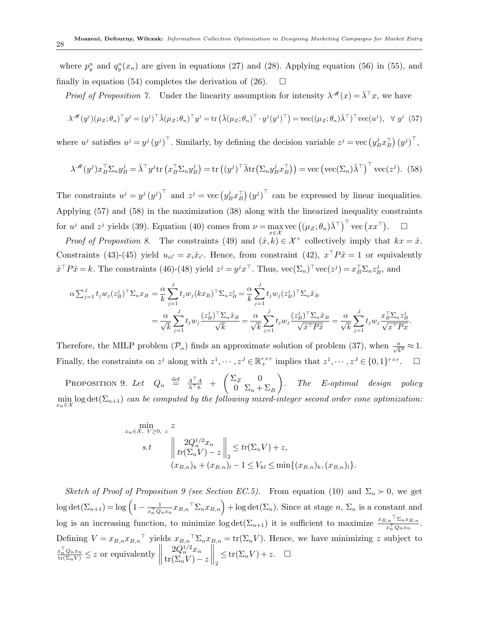where  $p_{y}^{n}$  and  $q_{y}^{n}(x_{n})$  are given in equations (27) and (28). Applying equation (56) in (55), and finally in equation (54) completes the derivation of (26).  $\Box$ 

28

*Proof of Proposition 7.* Under the linearity assumption for intensity  $\lambda^{\mathcal{M}}(x) = \overline{\lambda}^{\top}x$ , we have

$$
\lambda^{\mathcal{M}}(y^{j})(\mu_{Z};\theta_{n})^{\top}y^{j}=(y^{j})^{\top}\bar{\lambda}(\mu_{Z};\theta_{n})^{\top}y^{j}=\text{tr}\left(\bar{\lambda}(\mu_{Z};\theta_{n})^{\top}\cdot y^{j}(y^{j})^{\top}\right)=\text{vec}((\mu_{Z};\theta_{n})\bar{\lambda}^{\top})^{\top}\text{vec}(u^{j}), \quad \forall y^{j} \tag{57}
$$

where  $u^j$  satisfies  $u^j = y^j (y^j)^\top$ . Similarly, by defining the decision variable  $z^j = \text{vec}(y_B^j x_B^\top) (y^j)^\top$ ,

$$
\lambda^{\mathcal{M}}(y^{j})x_{B}^{\top}\Sigma_{n}y_{B}^{j} = \bar{\lambda}^{\top}y^{j} \text{tr}\left(x_{B}^{\top}\Sigma_{n}y_{B}^{j}\right) = \text{tr}\left((y^{j})^{\top}\bar{\lambda}\text{tr}\left(\Sigma_{n}y_{B}^{j}x_{B}^{\top}\right)\right) = \text{vec}\left(\text{vec}(\Sigma_{n})\bar{\lambda}^{\top}\right)^{\top}\text{vec}(z^{j}).
$$
 (58)

The constraints  $u^j = y^j (y^j)^\top$  and  $z^j = \text{vec} (y_B^j x_B^\top) (y^j)^\top$  can be expressed by linear inequalities. Applying (57) and (58) in the maximization (38) along with the linearized inequality constraints for  $u^j$  and  $z^j$  yields (39). Equation (40) comes from  $\nu = \max_{x \in \mathcal{X}} \text{vec}((\mu_Z; \theta_n)\overline{\lambda}^\top)^\top \text{vec}(xx^\top)$ .  $\Box$ 

*Proof of Proposition 8.* The constraints (49) and  $(\hat{x}, k) \in \mathcal{X}^+$  collectively imply that  $kx = \hat{x}$ . Constraints (43)-(45) yield  $u_{ii'} = x_i \hat{x}_{i'}$ . Hence, from constraint (42),  $x^{\top} P \hat{x} = 1$  or equivalently  $\hat{x}^{\top} P \hat{x} = k$ . The constraints (46)-(48) yield  $z^j = y^j x^{\top}$ . Thus,  $\text{vec}(\Sigma_n)^{\top} \text{vec}(z^j) = x_B^{\top} \Sigma_n z_B^j$ , and

$$
\alpha \sum_{j=1}^{J} t_j w_j (z_B^j)^\top \Sigma_n x_B = \frac{\alpha}{k} \sum_{j=1}^{J} t_j w_j (k x_B)^\top \Sigma_n z_B^j = \frac{\alpha}{k} \sum_{j=1}^{J} t_j w_j (z_B^j)^\top \Sigma_n \hat{x}_B
$$
  

$$
= \frac{\alpha}{\sqrt{k}} \sum_{j=1}^{J} t_j w_j \frac{(z_B^j)^\top \Sigma_n \hat{x}_B}{\sqrt{k}} = \frac{\alpha}{\sqrt{k}} \sum_{j=1}^{J} t_j w_j \frac{(z_B^j)^\top \Sigma_n \hat{x}_B}{\sqrt{\hat{x}^\top P \hat{x}}} = \frac{\alpha}{\sqrt{k}} \sum_{j=1}^{J} t_j w_j \frac{x_B^\top \Sigma_n z_B^j}{\sqrt{x^\top P x}}.
$$

Therefore, the MILP problem  $(\mathcal{P}_{\alpha})$  finds an approximate solution of problem (37), when  $\frac{\alpha}{\sqrt{k^*}} \approx 1$ . Finally, the constraints on  $z^j$  along with  $z^1, \dots, z^J \in \mathbb{R}^{r \times r}_{+}$  implies that  $z^1, \dots, z^J \in \{0, 1\}^{r \times r}$ .  $\Box$ 

PROPOSITION 9. Let  $Q_n \stackrel{\text{def}}{=} \frac{A^\top A}{h^\top h} + \begin{pmatrix} \sum_Z & 0 \\ 0 & \sum_L + \sum_L \end{pmatrix}$ 0  $\Sigma_n + \Sigma_B$  $\bigg)$ . The E-optimal design policy min log det( $\Sigma_{n+1}$ ) can be computed by the following mixed-integer second order cone optimization:

$$
\min_{x_n \in \mathcal{X}, V \ge 0, z} z
$$
\n
$$
s.t \quad \left\| \frac{2Q_n^{1/2}x_n}{tr(\Sigma_n V) - z} \right\|_2 \le tr(\Sigma_n V) + z,
$$
\n
$$
(x_{B,n})_k + (x_{B,n})_l - 1 \le V_{kl} \le \min\{(x_{B,n})_k, (x_{B,n})_l\}.
$$

Sketch of Proof of Proposition 9 (see Section EC.5). From equation (10) and  $\Sigma_n \succ 0$ , we get  $\log \det(\Sigma_{n+1}) = \log \left(1 - \frac{1}{x_n^\top Q_n x_n} x_{B,n}^\top \Sigma_n x_{B,n}\right) + \log \det(\Sigma_n)$ . Since at stage  $n, \Sigma_n$  is a constant and log is an increasing function, to minimize  $\log \det(\Sigma_{n+1})$  it is sufficient to maximize  $\frac{x_{B,n} \sum_{n} x_{B,n}}{\sum_{n} x_{B,n}}$  $\frac{n}{x_n^{\top} Q_n x_n}$ . Defining  $V = x_{B,n} x_{B,n}$ <sup>T</sup> yields  $x_{B,n}$ <sup>T</sup> $\Sigma_n x_{B,n}$  = tr( $\Sigma_n V$ ). Hence, we have minimizing z subject to  $\frac{x_n^{\top} Q_n x_n}{\text{tr}(\Sigma_n V)} \leq z$  or equivalently  $\bigg\|$  $2Q_n^{1/2}x_n$  $\mathrm{tr}(\Sigma_n V) - z$  $\bigg\|_2$  $\leq \text{tr}(\Sigma_n V) + z. \quad \Box$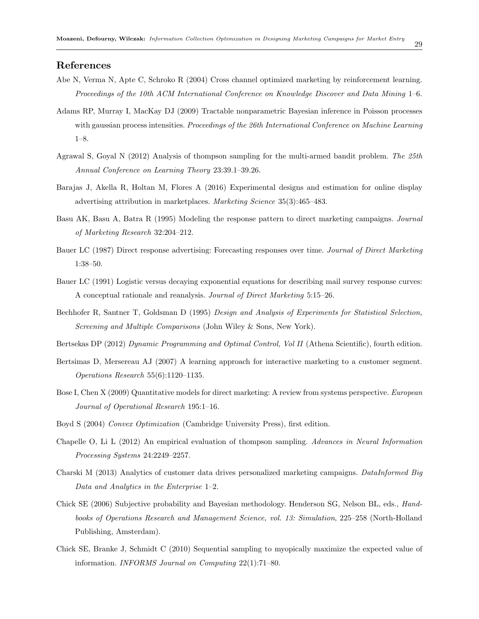#### 29

# References

- Abe N, Verma N, Apte C, Schroko R (2004) Cross channel optimized marketing by reinforcement learning. Proceedings of the 10th ACM International Conference on Knowledge Discover and Data Mining 1–6.
- Adams RP, Murray I, MacKay DJ (2009) Tractable nonparametric Bayesian inference in Poisson processes with gaussian process intensities. Proceedings of the 26th International Conference on Machine Learning 1–8.
- Agrawal S, Goyal N (2012) Analysis of thompson sampling for the multi-armed bandit problem. The 25th Annual Conference on Learning Theory 23:39.1–39.26.
- Barajas J, Akella R, Holtan M, Flores A (2016) Experimental designs and estimation for online display advertising attribution in marketplaces. Marketing Science 35(3):465–483.
- Basu AK, Basu A, Batra R (1995) Modeling the response pattern to direct marketing campaigns. Journal of Marketing Research 32:204–212.
- Bauer LC (1987) Direct response advertising: Forecasting responses over time. Journal of Direct Marketing 1:38–50.
- Bauer LC (1991) Logistic versus decaying exponential equations for describing mail survey response curves: A conceptual rationale and reanalysis. Journal of Direct Marketing 5:15–26.
- Bechhofer R, Santner T, Goldsman D (1995) Design and Analysis of Experiments for Statistical Selection, Screening and Multiple Comparisons (John Wiley & Sons, New York).
- Bertsekas DP (2012) Dynamic Programming and Optimal Control, Vol II (Athena Scientific), fourth edition.
- Bertsimas D, Mersereau AJ (2007) A learning approach for interactive marketing to a customer segment. Operations Research 55(6):1120–1135.
- Bose I, Chen X (2009) Quantitative models for direct marketing: A review from systems perspective. European Journal of Operational Research 195:1–16.
- Boyd S (2004) Convex Optimization (Cambridge University Press), first edition.
- Chapelle O, Li L (2012) An empirical evaluation of thompson sampling. Advances in Neural Information Processing Systems 24:2249–2257.
- Charski M (2013) Analytics of customer data drives personalized marketing campaigns. DataInformed Big Data and Analytics in the Enterprise 1–2.
- Chick SE (2006) Subjective probability and Bayesian methodology. Henderson SG, Nelson BL, eds., Handbooks of Operations Research and Management Science, vol. 13: Simulation, 225–258 (North-Holland Publishing, Amsterdam).
- Chick SE, Branke J, Schmidt C (2010) Sequential sampling to myopically maximize the expected value of information. INFORMS Journal on Computing 22(1):71–80.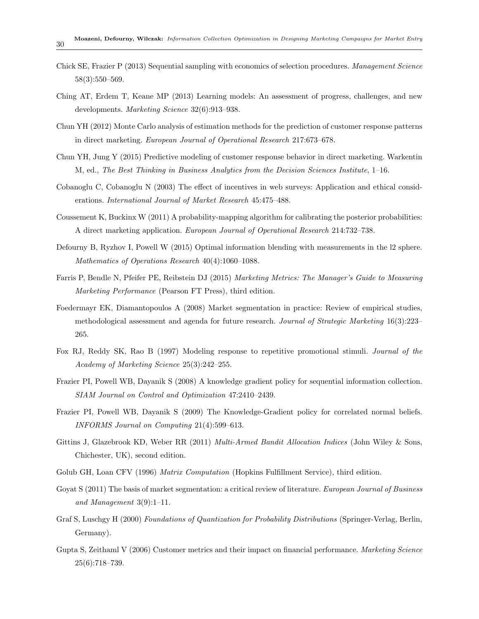- Chick SE, Frazier P (2013) Sequential sampling with economics of selection procedures. Management Science 58(3):550–569.
- Ching AT, Erdem T, Keane MP (2013) Learning models: An assessment of progress, challenges, and new developments. Marketing Science 32(6):913–938.
- Chun YH (2012) Monte Carlo analysis of estimation methods for the prediction of customer response patterns in direct marketing. European Journal of Operational Research 217:673–678.
- Chun YH, Jung Y (2015) Predictive modeling of customer response behavior in direct marketing. Warkentin M, ed., The Best Thinking in Business Analytics from the Decision Sciences Institute, 1–16.
- Cobanoglu C, Cobanoglu N (2003) The effect of incentives in web surveys: Application and ethical considerations. International Journal of Market Research 45:475–488.
- Coussement K, Buckinx W (2011) A probability-mapping algorithm for calibrating the posterior probabilities: A direct marketing application. European Journal of Operational Research 214:732–738.
- Defourny B, Ryzhov I, Powell W (2015) Optimal information blending with measurements in the l2 sphere. Mathematics of Operations Research 40(4):1060–1088.
- Farris P, Bendle N, Pfeifer PE, Reibstein DJ (2015) Marketing Metrics: The Manager's Guide to Measuring Marketing Performance (Pearson FT Press), third edition.
- Foedermayr EK, Diamantopoulos A (2008) Market segmentation in practice: Review of empirical studies, methodological assessment and agenda for future research. Journal of Strategic Marketing 16(3):223-265.
- Fox RJ, Reddy SK, Rao B (1997) Modeling response to repetitive promotional stimuli. Journal of the Academy of Marketing Science 25(3):242–255.
- Frazier PI, Powell WB, Dayanik S (2008) A knowledge gradient policy for sequential information collection. SIAM Journal on Control and Optimization 47:2410–2439.
- Frazier PI, Powell WB, Dayanik S (2009) The Knowledge-Gradient policy for correlated normal beliefs. INFORMS Journal on Computing 21(4):599–613.
- Gittins J, Glazebrook KD, Weber RR (2011) Multi-Armed Bandit Allocation Indices (John Wiley & Sons, Chichester, UK), second edition.
- Golub GH, Loan CFV (1996) Matrix Computation (Hopkins Fulfillment Service), third edition.
- Goyat S (2011) The basis of market segmentation: a critical review of literature. European Journal of Business and Management 3(9):1–11.
- Graf S, Luschgy H (2000) Foundations of Quantization for Probability Distributions (Springer-Verlag, Berlin, Germany).
- Gupta S, Zeithaml V (2006) Customer metrics and their impact on financial performance. Marketing Science 25(6):718–739.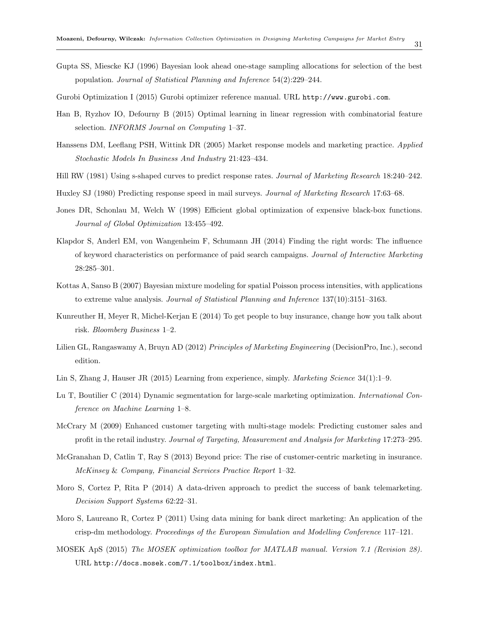- Gupta SS, Miescke KJ (1996) Bayesian look ahead one-stage sampling allocations for selection of the best population. Journal of Statistical Planning and Inference 54(2):229–244.
- Gurobi Optimization I (2015) Gurobi optimizer reference manual. URL http://www.gurobi.com.
- Han B, Ryzhov IO, Defourny B (2015) Optimal learning in linear regression with combinatorial feature selection. INFORMS Journal on Computing 1-37.
- Hanssens DM, Leeflang PSH, Wittink DR (2005) Market response models and marketing practice. Applied Stochastic Models In Business And Industry 21:423–434.
- Hill RW (1981) Using s-shaped curves to predict response rates. Journal of Marketing Research 18:240–242.
- Huxley SJ (1980) Predicting response speed in mail surveys. Journal of Marketing Research 17:63–68.
- Jones DR, Schonlau M, Welch W (1998) Efficient global optimization of expensive black-box functions. Journal of Global Optimization 13:455–492.
- Klapdor S, Anderl EM, von Wangenheim F, Schumann JH (2014) Finding the right words: The influence of keyword characteristics on performance of paid search campaigns. Journal of Interactive Marketing 28:285–301.
- Kottas A, Sanso B (2007) Bayesian mixture modeling for spatial Poisson process intensities, with applications to extreme value analysis. Journal of Statistical Planning and Inference 137(10):3151–3163.
- Kunreuther H, Meyer R, Michel-Kerjan E (2014) To get people to buy insurance, change how you talk about risk. Bloomberg Business 1–2.
- Lilien GL, Rangaswamy A, Bruyn AD (2012) Principles of Marketing Engineering (DecisionPro, Inc.), second edition.
- Lin S, Zhang J, Hauser JR (2015) Learning from experience, simply. Marketing Science 34(1):1–9.
- Lu T, Boutilier C (2014) Dynamic segmentation for large-scale marketing optimization. International Conference on Machine Learning 1–8.
- McCrary M (2009) Enhanced customer targeting with multi-stage models: Predicting customer sales and profit in the retail industry. Journal of Targeting, Measurement and Analysis for Marketing 17:273–295.
- McGranahan D, Catlin T, Ray S (2013) Beyond price: The rise of customer-centric marketing in insurance. McKinsey & Company, Financial Services Practice Report 1–32.
- Moro S, Cortez P, Rita P (2014) A data-driven approach to predict the success of bank telemarketing. Decision Support Systems 62:22–31.
- Moro S, Laureano R, Cortez P (2011) Using data mining for bank direct marketing: An application of the crisp-dm methodology. Proceedings of the European Simulation and Modelling Conference 117–121.
- MOSEK ApS (2015) The MOSEK optimization toolbox for MATLAB manual. Version 7.1 (Revision 28). URL http://docs.mosek.com/7.1/toolbox/index.html.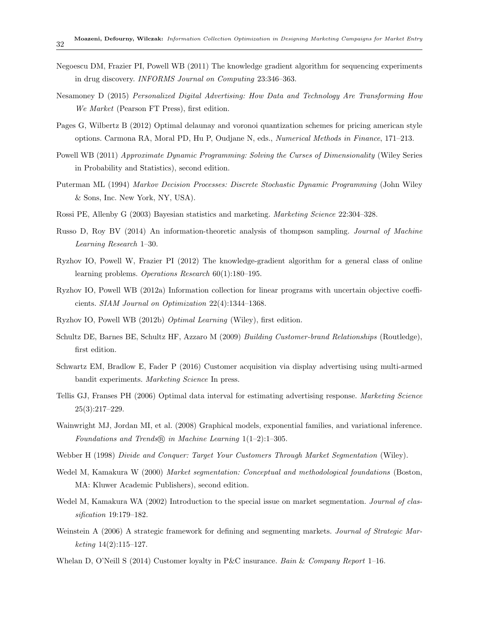- Negoescu DM, Frazier PI, Powell WB (2011) The knowledge gradient algorithm for sequencing experiments in drug discovery. INFORMS Journal on Computing 23:346–363.
- Nesamoney D (2015) Personalized Digital Advertising: How Data and Technology Are Transforming How We Market (Pearson FT Press), first edition.
- Pages G, Wilbertz B (2012) Optimal delaunay and voronoi quantization schemes for pricing american style options. Carmona RA, Moral PD, Hu P, Oudjane N, eds., Numerical Methods in Finance, 171–213.
- Powell WB (2011) Approximate Dynamic Programming: Solving the Curses of Dimensionality (Wiley Series in Probability and Statistics), second edition.
- Puterman ML (1994) Markov Decision Processes: Discrete Stochastic Dynamic Programming (John Wiley & Sons, Inc. New York, NY, USA).
- Rossi PE, Allenby G (2003) Bayesian statistics and marketing. Marketing Science 22:304–328.
- Russo D, Roy BV (2014) An information-theoretic analysis of thompson sampling. Journal of Machine Learning Research 1–30.
- Ryzhov IO, Powell W, Frazier PI (2012) The knowledge-gradient algorithm for a general class of online learning problems. Operations Research 60(1):180–195.
- Ryzhov IO, Powell WB (2012a) Information collection for linear programs with uncertain objective coefficients. SIAM Journal on Optimization 22(4):1344–1368.
- Ryzhov IO, Powell WB (2012b) Optimal Learning (Wiley), first edition.

32

- Schultz DE, Barnes BE, Schultz HF, Azzaro M (2009) Building Customer-brand Relationships (Routledge), first edition.
- Schwartz EM, Bradlow E, Fader P (2016) Customer acquisition via display advertising using multi-armed bandit experiments. Marketing Science In press.
- Tellis GJ, Franses PH (2006) Optimal data interval for estimating advertising response. Marketing Science 25(3):217–229.
- Wainwright MJ, Jordan MI, et al. (2008) Graphical models, exponential families, and variational inference. Foundations and Trends® in Machine Learning  $1(1-2)$ :1-305.
- Webber H (1998) Divide and Conquer: Target Your Customers Through Market Segmentation (Wiley).
- Wedel M, Kamakura W (2000) Market segmentation: Conceptual and methodological foundations (Boston, MA: Kluwer Academic Publishers), second edition.
- Wedel M, Kamakura WA (2002) Introduction to the special issue on market segmentation. Journal of classification 19:179–182.
- Weinstein A (2006) A strategic framework for defining and segmenting markets. Journal of Strategic Mar $keting 14(2):115-127.$
- Whelan D, O'Neill S (2014) Customer loyalty in P&C insurance. Bain & Company Report 1–16.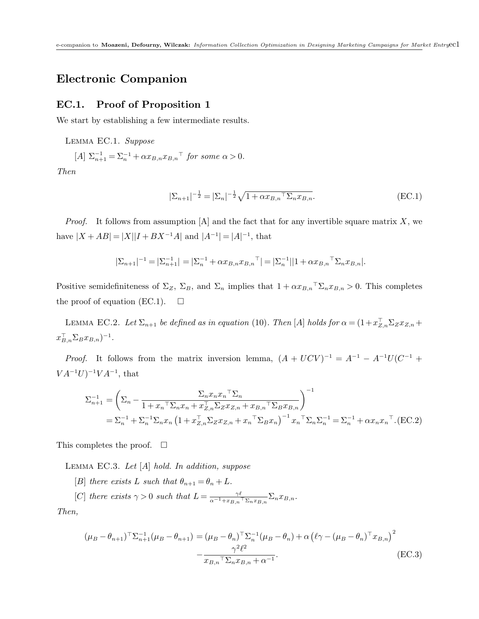# Electronic Companion

# EC.1. Proof of Proposition 1

We start by establishing a few intermediate results.

Lemma EC.1. Suppose

$$
[A] \ \Sigma_{n+1}^{-1} = \Sigma_n^{-1} + \alpha x_{B,n} x_{B,n}^\top \ \text{for some } \alpha > 0.
$$
  
Then

 $|\Sigma_{n+1}|^{-\frac{1}{2}} = |\Sigma_n|^{-\frac{1}{2}} \sqrt{1 + \alpha x_{B,n} \Gamma \Sigma_n x_{B,n}}.$  (EC.1)

*Proof.* It follows from assumption  $[A]$  and the fact that for any invertible square matrix X, we have  $|X + AB| = |X||I + BX^{-1}A|$  and  $|A^{-1}| = |A|^{-1}$ , that

$$
|\Sigma_{n+1}|^{-1} = |\Sigma_{n+1}^{-1}| = |\Sigma_n^{-1} + \alpha x_{B,n} x_{B,n}^{-1}| = |\Sigma_n^{-1}| |1 + \alpha x_{B,n}^{-1} \Sigma_n x_{B,n}|.
$$

Positive semidefiniteness of  $\Sigma_z$ ,  $\Sigma_B$ , and  $\Sigma_n$  implies that  $1 + \alpha x_{B,n}^T \Sigma_n x_{B,n} > 0$ . This completes the proof of equation (EC.1).  $\Box$ 

LEMMA EC.2. Let  $\Sigma_{n+1}$  be defined as in equation (10). Then [A] holds for  $\alpha = (1 + x_{Z,n}^{\top} \Sigma_Z x_{Z,n} +$  $x_{B,n}^{\top} \Sigma_B x_{B,n}$  $^{-1}$ .

*Proof.* It follows from the matrix inversion lemma,  $(A + UCV)^{-1} = A^{-1} - A^{-1}U(C^{-1} +$  $VA^{-1}U$ <sup>-1</sup> $VA^{-1}$ , that

$$
\Sigma_{n+1}^{-1} = \left(\Sigma_n - \frac{\Sigma_n x_n x_n^\top \Sigma_n}{1 + x_n^\top \Sigma_n x_n + x_{Z,n}^\top \Sigma_Z x_{Z,n} + x_{B,n}^\top \Sigma_B x_{B,n}}\right)^{-1}
$$
  
=  $\Sigma_n^{-1} + \Sigma_n^{-1} \Sigma_n x_n \left(1 + x_{Z,n}^\top \Sigma_Z x_{Z,n} + x_n^\top \Sigma_B x_n\right)^{-1} x_n^\top \Sigma_n \Sigma_n^{-1} = \Sigma_n^{-1} + \alpha x_n x_n^\top. \text{(EC.2)}$ 

This completes the proof.  $\square$ 

LEMMA EC.3. Let  $[A]$  hold. In addition, suppose

[B] there exists L such that  $\theta_{n+1} = \theta_n + L$ .

[C] there exists  $\gamma > 0$  such that  $L = \frac{\gamma \ell}{\alpha^{-1} + x_{B,n}} \sum_n x_{B,n}$ .

Then,

$$
(\mu_B - \theta_{n+1})^{\top} \Sigma_{n+1}^{-1} (\mu_B - \theta_{n+1}) = (\mu_B - \theta_n)^{\top} \Sigma_n^{-1} (\mu_B - \theta_n) + \alpha (\ell \gamma - (\mu_B - \theta_n)^{\top} x_{B,n})^2
$$

$$
- \frac{\gamma^2 \ell^2}{x_{B,n} \top \Sigma_n x_{B,n} + \alpha^{-1}}.
$$
(EC.3)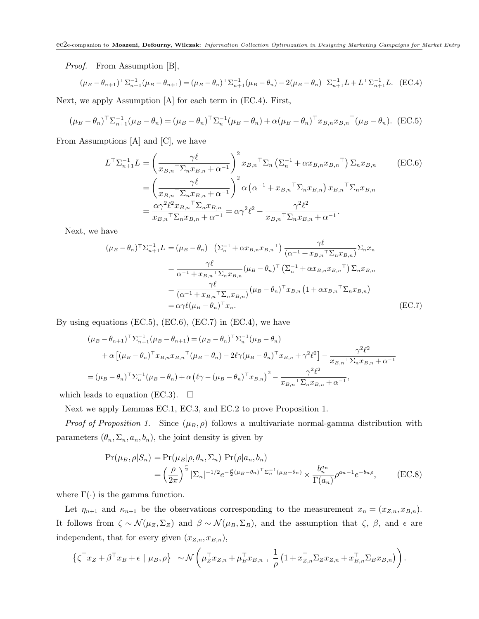Proof. From Assumption [B],

$$
(\mu_B - \theta_{n+1})^{\top} \Sigma_{n+1}^{-1} (\mu_B - \theta_{n+1}) = (\mu_B - \theta_n)^{\top} \Sigma_{n+1}^{-1} (\mu_B - \theta_n) - 2(\mu_B - \theta_n)^{\top} \Sigma_{n+1}^{-1} L + L^{\top} \Sigma_{n+1}^{-1} L.
$$
 (EC.4)

Next, we apply Assumption [A] for each term in (EC.4). First,

$$
(\mu_B - \theta_n)^{\top} \Sigma_{n+1}^{-1} (\mu_B - \theta_n) = (\mu_B - \theta_n)^{\top} \Sigma_n^{-1} (\mu_B - \theta_n) + \alpha (\mu_B - \theta_n)^{\top} x_{B,n} x_{B,n}^{\top} (\mu_B - \theta_n).
$$
 (EC.5)

From Assumptions [A] and [C], we have

$$
L^{\top} \Sigma_{n+1}^{-1} L = \left(\frac{\gamma \ell}{x_{B,n} \tau \Sigma_n x_{B,n} + \alpha^{-1}}\right)^2 x_{B,n} \tau \Sigma_n \left(\Sigma_n^{-1} + \alpha x_{B,n} x_{B,n} \tau\right) \Sigma_n x_{B,n}
$$
(EC.6)  

$$
= \left(\frac{\gamma \ell}{x_{B,n} \tau \Sigma_n x_{B,n} + \alpha^{-1}}\right)^2 \alpha \left(\alpha^{-1} + x_{B,n} \tau \Sigma_n x_{B,n}\right) x_{B,n} \tau \Sigma_n x_{B,n}
$$
  

$$
= \frac{\alpha \gamma^2 \ell^2 x_{B,n} \tau \Sigma_n x_{B,n}}{x_{B,n} \tau \Sigma_n x_{B,n} + \alpha^{-1}} = \alpha \gamma^2 \ell^2 - \frac{\gamma^2 \ell^2}{x_{B,n} \tau \Sigma_n x_{B,n} + \alpha^{-1}}.
$$

Next, we have

$$
(\mu_B - \theta_n)^{\top} \Sigma_{n+1}^{-1} L = (\mu_B - \theta_n)^{\top} \left( \Sigma_n^{-1} + \alpha x_{B,n} x_{B,n}^{\top} \right) \frac{\gamma \ell}{(\alpha^{-1} + x_{B,n}^{\top} \Sigma_n x_{B,n})} \Sigma_n x_n
$$
  

$$
= \frac{\gamma \ell}{\alpha^{-1} + x_{B,n}^{\top} \Sigma_n x_{B,n}} (\mu_B - \theta_n)^{\top} \left( \Sigma_n^{-1} + \alpha x_{B,n} x_{B,n}^{\top} \right) \Sigma_n x_{B,n}
$$
  

$$
= \frac{\gamma \ell}{(\alpha^{-1} + x_{B,n}^{\top} \Sigma_n x_{B,n})} (\mu_B - \theta_n)^{\top} x_{B,n} \left( 1 + \alpha x_{B,n}^{\top} \Sigma_n x_{B,n} \right)
$$
  

$$
= \alpha \gamma \ell (\mu_B - \theta_n)^{\top} x_n.
$$
 (EC.7)

By using equations  $(EC.5)$ ,  $(EC.6)$ ,  $(EC.7)$  in  $(EC.4)$ , we have

$$
(\mu_B - \theta_{n+1})^{\top} \Sigma_{n+1}^{-1} (\mu_B - \theta_{n+1}) = (\mu_B - \theta_n)^{\top} \Sigma_n^{-1} (\mu_B - \theta_n)
$$
  
+  $\alpha [(\mu_B - \theta_n)^{\top} x_{B,n} x_{B,n}^{\top} (\mu_B - \theta_n) - 2\ell \gamma (\mu_B - \theta_n)^{\top} x_{B,n} + \gamma^2 \ell^2] - \frac{\gamma^2 \ell^2}{x_{B,n}^{\top} \Sigma_n x_{B,n} + \alpha^{-1}}$   
=  $(\mu_B - \theta_n)^{\top} \Sigma_n^{-1} (\mu_B - \theta_n) + \alpha (\ell \gamma - (\mu_B - \theta_n)^{\top} x_{B,n})^2 - \frac{\gamma^2 \ell^2}{x_{B,n}^{\top} \Sigma_n x_{B,n} + \alpha^{-1}},$ 

which leads to equation (EC.3).  $\square$ 

Next we apply Lemmas EC.1, EC.3, and EC.2 to prove Proposition 1.

*Proof of Proposition 1.* Since  $(\mu_B, \rho)$  follows a multivariate normal-gamma distribution with parameters  $(\theta_n, \Sigma_n, a_n, b_n)$ , the joint density is given by

$$
\Pr(\mu_B, \rho | S_n) = \Pr(\mu_B | \rho, \theta_n, \Sigma_n) \Pr(\rho | a_n, b_n)
$$
  
=  $\left(\frac{\rho}{2\pi}\right)^{\frac{r}{2}} |\Sigma_n|^{-1/2} e^{-\frac{\rho}{2} (\mu_B - \theta_n)^{\top} \Sigma_n^{-1} (\mu_B - \theta_n)} \times \frac{b_n^{a_n}}{\Gamma(a_n)} \rho^{a_n - 1} e^{-b_n \rho},$  (EC.8)

where  $\Gamma(\cdot)$  is the gamma function.

Let  $\eta_{n+1}$  and  $\kappa_{n+1}$  be the observations corresponding to the measurement  $x_n = (x_{Z,n}, x_{B,n})$ . It follows from  $\zeta \sim \mathcal{N}(\mu_Z, \Sigma_Z)$  and  $\beta \sim \mathcal{N}(\mu_B, \Sigma_B)$ , and the assumption that  $\zeta$ ,  $\beta$ , and  $\epsilon$  are independent, that for every given  $(x_{Z,n}, x_{B,n}),$ 

$$
\left\{ \zeta^\top x_Z + \beta^\top x_B + \epsilon \mid \mu_B, \rho \right\} \sim \mathcal{N} \left( \mu_Z^\top x_{Z,n} + \mu_B^\top x_{B,n} , \frac{1}{\rho} \left( 1 + x_{Z,n}^\top \Sigma_Z x_{Z,n} + x_{B,n}^\top \Sigma_B x_{B,n} \right) \right).
$$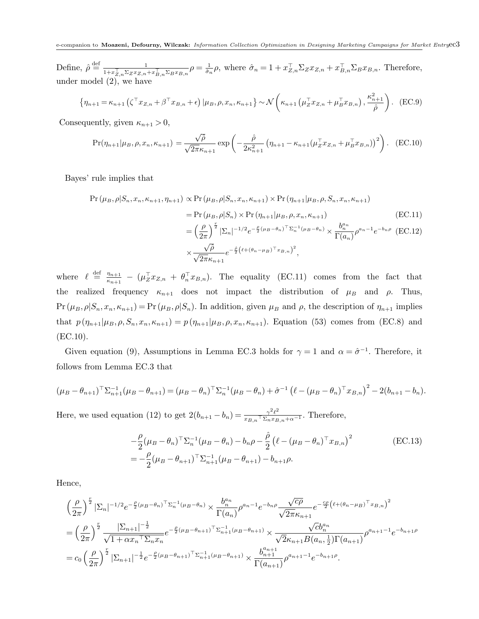Define,  $\hat{\rho} \stackrel{\text{def}}{=} \frac{1}{1 + x_{Z,n}^{\top} \Sigma_Z x_{Z,n} + x_{B,n}^{\top} \Sigma_B x_{B,n}} \rho = \frac{1}{\hat{\sigma}_n}$  $\frac{1}{\hat{\sigma}_n} \rho$ , where  $\hat{\sigma}_n = 1 + x_{Z,n}^{\top} \Sigma_Z x_{Z,n} + x_{B,n}^{\top} \Sigma_B x_{B,n}$ . Therefore, under model (2), we have

$$
\left\{\eta_{n+1} = \kappa_{n+1} \left(\zeta^\top x_{Z,n} + \beta^\top x_{B,n} + \epsilon\right) | \mu_B, \rho, x_n, \kappa_{n+1}\right\} \sim \mathcal{N}\left(\kappa_{n+1} \left(\mu_Z^\top x_{Z,n} + \mu_B^\top x_{B,n}\right), \frac{\kappa_{n+1}^2}{\hat{\rho}}\right). \tag{EC.9}
$$

Consequently, given  $\kappa_{n+1} > 0$ ,

$$
\Pr(\eta_{n+1}|\mu_B, \rho, x_n, \kappa_{n+1}) = \frac{\sqrt{\hat{\rho}}}{\sqrt{2\pi}\kappa_{n+1}} \exp\left(-\frac{\hat{\rho}}{2\kappa_{n+1}^2} \left(\eta_{n+1} - \kappa_{n+1}(\mu_Z^{\top} x_{Z,n} + \mu_B^{\top} x_{B,n})\right)^2\right). \tag{EC.10}
$$

Bayes' rule implies that

$$
\Pr(\mu_{B}, \rho | S_{n}, x_{n}, \kappa_{n+1}, \eta_{n+1}) \propto \Pr(\mu_{B}, \rho | S_{n}, x_{n}, \kappa_{n+1}) \times \Pr(\eta_{n+1} | \mu_{B}, \rho, S_{n}, x_{n}, \kappa_{n+1})
$$
\n
$$
= \Pr(\mu_{B}, \rho | S_{n}) \times \Pr(\eta_{n+1} | \mu_{B}, \rho, x_{n}, \kappa_{n+1})
$$
\n
$$
= \left(\frac{\rho}{2\pi}\right)^{\frac{r}{2}} |\Sigma_{n}|^{-1/2} e^{-\frac{\rho}{2} (\mu_{B} - \theta_{n})^{\top} \Sigma_{n}^{-1} (\mu_{B} - \theta_{n})} \times \frac{b_{n}^{a_{n}}}{\Gamma(a_{n})} \rho^{a_{n}-1} e^{-b_{n}\rho} \text{ (EC.12)}
$$
\n
$$
\times \frac{\sqrt{\rho}}{\sqrt{2\pi} \kappa_{n+1}} e^{-\frac{\rho}{2} (\ell + (\theta_{n} - \mu_{B})^{\top} x_{B,n})^{2}},
$$

where  $\ell \stackrel{\text{def}}{=} \frac{\eta_{n+1}}{k+1}$  $\frac{\eta_{n+1}}{\kappa_{n+1}} - (\mu_Z^{\top} x_{Z,n} + \theta_n^{\top} x_{B,n}).$  The equality (EC.11) comes from the fact that the realized frequency  $\kappa_{n+1}$  does not impact the distribution of  $\mu_B$  and  $\rho$ . Thus,  $Pr(\mu_B, \rho | S_n, x_n, \kappa_{n+1}) = Pr(\mu_B, \rho | S_n)$ . In addition, given  $\mu_B$  and  $\rho$ , the description of  $\eta_{n+1}$  implies that  $p(\eta_{n+1}|\mu_B, \rho, S_n, x_n, \kappa_{n+1}) = p(\eta_{n+1}|\mu_B, \rho, x_n, \kappa_{n+1})$ . Equation (53) comes from (EC.8) and  $(EC.10).$ 

Given equation (9), Assumptions in Lemma EC.3 holds for  $\gamma = 1$  and  $\alpha = \hat{\sigma}^{-1}$ . Therefore, it follows from Lemma EC.3 that

$$
(\mu_B - \theta_{n+1})^{\top} \Sigma_{n+1}^{-1} (\mu_B - \theta_{n+1}) = (\mu_B - \theta_n)^{\top} \Sigma_n^{-1} (\mu_B - \theta_n) + \hat{\sigma}^{-1} (\ell - (\mu_B - \theta_n)^{\top} x_{B,n})^2 - 2(b_{n+1} - b_n).
$$

Here, we used equation (12) to get  $2(b_{n+1}-b_n) = \frac{\gamma^2 \ell^2}{\pi n}$  $\frac{\gamma^2 \ell^2}{x_{B,n} \top \Sigma_n x_{B,n} + \alpha^{-1}}$ . Therefore,

$$
-\frac{\rho}{2}(\mu_B - \theta_n)^{\top} \Sigma_n^{-1} (\mu_B - \theta_n) - b_n \rho - \frac{\hat{\rho}}{2} (\ell - (\mu_B - \theta_n)^{\top} x_{B,n})^2
$$
\n(EC.13)\n
$$
= -\frac{\rho}{2} (\mu_B - \theta_{n+1})^{\top} \Sigma_{n+1}^{-1} (\mu_B - \theta_{n+1}) - b_{n+1} \rho.
$$

Hence,

$$
\left(\frac{\rho}{2\pi}\right)^{\frac{r}{2}} |\Sigma_n|^{-1/2} e^{-\frac{\rho}{2}(\mu_B - \theta_n)^{\top} \Sigma_n^{-1}(\mu_B - \theta_n)} \times \frac{b_n^{a_n}}{\Gamma(a_n)} \rho^{a_n - 1} e^{-b_n \rho} \frac{\sqrt{c\rho}}{\sqrt{2\pi} \kappa_{n+1}} e^{-\frac{c\rho}{2} \left(\ell + (\theta_n - \mu_B)^{\top} x_{B,n}\right)^2}
$$
\n
$$
= \left(\frac{\rho}{2\pi}\right)^{\frac{r}{2}} \frac{|\Sigma_{n+1}|^{-\frac{1}{2}}}{\sqrt{1 + \alpha x_n^{\top} \Sigma_n x_n}} e^{-\frac{\rho}{2} (\mu_B - \theta_{n+1})^{\top} \Sigma_{n+1}^{-1}(\mu_B - \theta_{n+1})} \times \frac{\sqrt{c}b_n^{a_n}}{\sqrt{2\kappa_{n+1} B(a_n, \frac{1}{2}) \Gamma(a_{n+1})}} \rho^{a_{n+1} - 1} e^{-b_{n+1}\rho}
$$
\n
$$
= c_0 \left(\frac{\rho}{2\pi}\right)^{\frac{r}{2}} |\Sigma_{n+1}|^{-\frac{1}{2}} e^{-\frac{\rho}{2} (\mu_B - \theta_{n+1})^{\top} \Sigma_{n+1}^{-1}(\mu_B - \theta_{n+1})} \times \frac{b_{n+1}^{a_{n+1}}}{\Gamma(a_{n+1})} \rho^{a_{n+1} - 1} e^{-b_{n+1}\rho}.
$$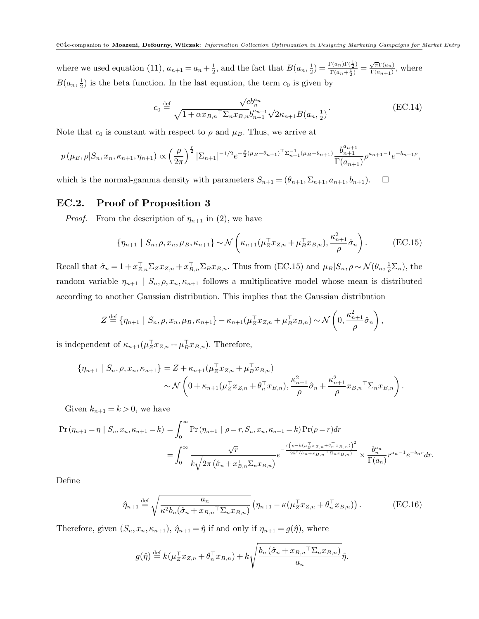where we used equation (11),  $a_{n+1} = a_n + \frac{1}{2}$  $\frac{1}{2}$ , and the fact that  $B(a_n, \frac{1}{2})$  $\frac{1}{2}$ ) =  $\frac{\Gamma(a_n)\Gamma(\frac{1}{2})}{\Gamma(a_n+\frac{1}{2})}$  $\frac{\Gamma(a_n)\Gamma(\frac{1}{2})}{\Gamma(a_n + \frac{1}{2})} = \frac{\sqrt{\pi}\Gamma(a_n)}{\Gamma(a_{n+1})}$  $\frac{\sqrt{\pi}\Gamma(an)}{\Gamma(a_{n+1})}$ , where  $B(a_n, \frac{1}{2})$  $\frac{1}{2}$ ) is the beta function. In the last equation, the term  $c_0$  is given by

$$
c_0 \stackrel{\text{def}}{=} \frac{\sqrt{c}b_n^{a_n}}{\sqrt{1 + \alpha x_{B,n}^\top \Sigma_n x_{B,n}} b_{n+1}^{a_{n+1}} \sqrt{2\kappa_{n+1} B(a_n, \frac{1}{2})}}.
$$
 (EC.14)

Note that  $c_0$  is constant with respect to  $\rho$  and  $\mu_B$ . Thus, we arrive at

$$
p(\mu_B, \rho | S_n, x_n, \kappa_{n+1}, \eta_{n+1}) \propto \left(\frac{\rho}{2\pi}\right)^{\frac{r}{2}} |\Sigma_{n+1}|^{-1/2} e^{-\frac{\rho}{2}(\mu_B - \theta_{n+1})^\top \Sigma_{n+1}^{-1}(\mu_B - \theta_{n+1})} \frac{b_{n+1}^{a_{n+1}}}{\Gamma(a_{n+1})} \rho^{a_{n+1}-1} e^{-b_{n+1}\rho},
$$

which is the normal-gamma density with parameters  $S_{n+1} = (\theta_{n+1}, \Sigma_{n+1}, a_{n+1}, b_{n+1})$ .  $\Box$ 

# EC.2. Proof of Proposition 3

*Proof.* From the description of  $\eta_{n+1}$  in (2), we have

$$
\{\eta_{n+1} \mid S_n, \rho, x_n, \mu_B, \kappa_{n+1}\} \sim \mathcal{N}\left(\kappa_{n+1}(\mu_Z^{\top} x_{Z,n} + \mu_B^{\top} x_{B,n}), \frac{\kappa_{n+1}^2}{\rho}\hat{\sigma}_n\right). \tag{EC.15}
$$

Recall that  $\hat{\sigma}_n = 1 + x_{Z,n}^\top \Sigma_Z x_{Z,n} + x_{B,n}^\top \Sigma_B x_{B,n}$ . Thus from (EC.15) and  $\mu_B | S_n, \rho \sim \mathcal{N}(\theta_n, \frac{1}{\rho})$  $\frac{1}{\rho} \Sigma_n$ ), the random variable  $\eta_{n+1}$  |  $S_n, \rho, x_n, \kappa_{n+1}$  follows a multiplicative model whose mean is distributed according to another Gaussian distribution. This implies that the Gaussian distribution

$$
Z \stackrel{\text{def}}{=} \{ \eta_{n+1} \mid S_n, \rho, x_n, \mu_B, \kappa_{n+1} \} - \kappa_{n+1} (\mu_Z^{\top} x_{Z,n} + \mu_B^{\top} x_{B,n}) \sim \mathcal{N}\left(0, \frac{\kappa_{n+1}^2}{\rho} \hat{\sigma}_n\right),
$$

is independent of  $\kappa_{n+1}(\mu_Z^{\top} x_{Z,n} + \mu_B^{\top} x_{B,n})$ . Therefore,

$$
\{\eta_{n+1} \mid S_n, \rho, x_n, \kappa_{n+1}\} = Z + \kappa_{n+1}(\mu_Z^{\top} x_{Z,n} + \mu_B^{\top} x_{B,n})
$$
  

$$
\sim \mathcal{N}\left(0 + \kappa_{n+1}(\mu_Z^{\top} x_{Z,n} + \theta_n^{\top} x_{B,n}), \frac{\kappa_{n+1}^2}{\rho} \hat{\sigma}_n + \frac{\kappa_{n+1}^2}{\rho} x_{B,n}^{\top} \Sigma_n x_{B,n}\right).
$$

Given  $k_{n+1} = k > 0$ , we have

$$
\Pr(\eta_{n+1} = \eta \mid S_n, x_n, \kappa_{n+1} = k) = \int_0^\infty \Pr(\eta_{n+1} \mid \rho = r, S_n, x_n, \kappa_{n+1} = k) \Pr(\rho = r) dr
$$

$$
= \int_0^\infty \frac{\sqrt{r}}{k \sqrt{2\pi (\hat{\sigma}_n + x_{B,n}^\top \Sigma_n x_{B,n})}} e^{-\frac{r(n-k(\mu_X^T x_{B,n} + \theta_n^T x_{B,n}))^2}{2k^2 (\hat{\sigma}_n + x_{B,n}^\top \Sigma_n x_{B,n})}} \times \frac{b_n^{a_n}}{\Gamma(a_n)} r^{a_n - 1} e^{-b_n r} dr.
$$

Define

$$
\hat{\eta}_{n+1} \stackrel{\text{def}}{=} \sqrt{\frac{a_n}{\kappa^2 b_n (\hat{\sigma}_n + x_{B,n}^\top \Sigma_n x_{B,n})}} \left( \eta_{n+1} - \kappa (\mu_Z^\top x_{Z,n} + \theta_n^\top x_{B,n}) \right). \tag{EC.16}
$$

Therefore, given  $(S_n, x_n, \kappa_{n+1}), \hat{\eta}_{n+1} = \hat{\eta}$  if and only if  $\eta_{n+1} = g(\hat{\eta}),$  where

$$
g(\hat{\eta}) \stackrel{\text{def}}{=} k(\mu_Z^{\top} x_{Z,n} + \theta_n^{\top} x_{B,n}) + k \sqrt{\frac{b_n (\hat{\sigma}_n + x_{B,n}^{\top} \Sigma_n x_{B,n})}{a_n}} \hat{\eta}.
$$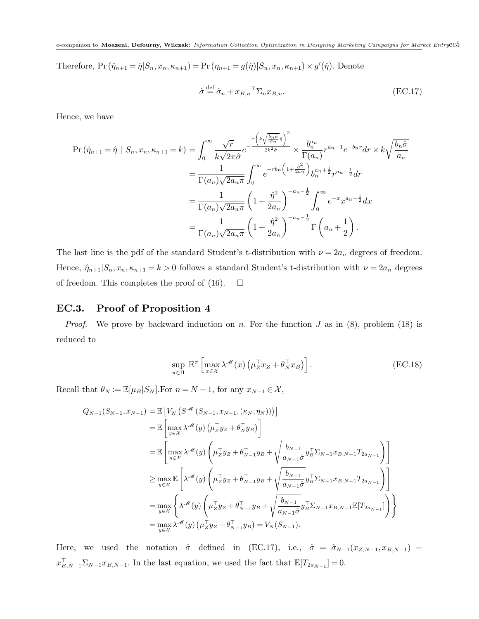Therefore,  $Pr(\hat{\eta}_{n+1} = \hat{\eta}|S_n, x_n, \kappa_{n+1}) = Pr(\eta_{n+1} = g(\hat{\eta})|S_n, x_n, \kappa_{n+1}) \times g'(\hat{\eta})$ . Denote

$$
\hat{\sigma} \stackrel{\text{def}}{=} \hat{\sigma}_n + x_{B,n} \mathcal{L}_{n} x_{B,n}.
$$
\n(EC.17)

Hence, we have

$$
\Pr\left(\hat{\eta}_{n+1} = \hat{\eta} \mid S_n, x_n, \kappa_{n+1} = k\right) = \int_0^\infty \frac{\sqrt{r}}{k\sqrt{2\pi\hat{\sigma}}} e^{-\frac{r\left(k\sqrt{\frac{b_n\hat{\sigma}}{a_n}}\hat{\eta}\right)^2}{2k^2\hat{\sigma}}} \times \frac{b_n^{a_n}}{\Gamma(a_n)} r^{a_n - 1} e^{-b_n r} dr \times k\sqrt{\frac{b_n\hat{\sigma}}{a_n}}
$$

$$
= \frac{1}{\Gamma(a_n)\sqrt{2a_n\pi}} \int_0^\infty e^{-rb_n \left(1 + \frac{\hat{\eta}^2}{2a_n}\right)} b_n^{a_n + \frac{1}{2}} r^{a_n - \frac{1}{2}} dr
$$

$$
= \frac{1}{\Gamma(a_n)\sqrt{2a_n\pi}} \left(1 + \frac{\hat{\eta}^2}{2a_n}\right)^{-a_n - \frac{1}{2}} \int_0^\infty e^{-x} x^{a_n - \frac{1}{2}} dx
$$

$$
= \frac{1}{\Gamma(a_n)\sqrt{2a_n\pi}} \left(1 + \frac{\hat{\eta}^2}{2a_n}\right)^{-a_n - \frac{1}{2}} \Gamma\left(a_n + \frac{1}{2}\right).
$$

The last line is the pdf of the standard Student's t-distribution with  $\nu = 2a_n$  degrees of freedom. Hence,  $\hat{\eta}_{n+1}|S_n, x_n, \kappa_{n+1} = k > 0$  follows a standard Student's t-distribution with  $\nu = 2a_n$  degrees of freedom. This completes the proof of  $(16)$ .  $\Box$ 

# EC.3. Proof of Proposition 4

*Proof.* We prove by backward induction on n. For the function J as in  $(8)$ , problem  $(18)$  is reduced to

$$
\sup_{\pi \in \Pi} \mathbb{E}^{\pi} \left[ \max_{x \in \mathcal{X}} \lambda^{\mathcal{M}}(x) \left( \mu_Z^{\top} x_Z + \theta_N^{\top} x_B \right) \right]. \tag{EC.18}
$$

Recall that  $\theta_N := \mathbb{E}[\mu_B|S_N].$  For  $n = N - 1$ , for any  $x_{N-1} \in \mathcal{X}$ ,

$$
Q_{N-1}(S_{N-1}, x_{N-1}) = \mathbb{E}\left[V_N\left(S^{\mathcal{M}}\left(S_{N-1}, x_{N-1}, (\kappa_N, \eta_N)\right)\right)\right]
$$
  
\n
$$
= \mathbb{E}\left[\max_{y \in \mathcal{X}} \lambda^{\mathcal{M}}(y)\left(\mu_{Z}^{\top} y_{Z} + \theta_{N}^{\top} y_{B}\right)\right]
$$
  
\n
$$
= \mathbb{E}\left[\max_{y \in \mathcal{X}} \lambda^{\mathcal{M}}(y)\left(\mu_{Z}^{\top} y_{Z} + \theta_{N-1}^{\top} y_{B} + \sqrt{\frac{b_{N-1}}{a_{N-1}\hat{\sigma}}y_{B}^{\top} \Sigma_{N-1} x_{B,N-1}T_{2a_{N-1}}}\right)\right]
$$
  
\n
$$
\geq \max_{y \in \mathcal{X}} \mathbb{E}\left[\lambda^{\mathcal{M}}(y)\left(\mu_{Z}^{\top} y_{Z} + \theta_{N-1}^{\top} y_{B} + \sqrt{\frac{b_{N-1}}{a_{N-1}\hat{\sigma}}y_{B}^{\top} \Sigma_{N-1} x_{B,N-1}T_{2a_{N-1}}}\right)\right]
$$
  
\n
$$
= \max_{y \in \mathcal{X}} \left\{\lambda^{\mathcal{M}}(y)\left(\mu_{Z}^{\top} y_{Z} + \theta_{N-1}^{\top} y_{B} + \sqrt{\frac{b_{N-1}}{a_{N-1}\hat{\sigma}}y_{B}^{\top} \Sigma_{N-1} x_{B,N-1} \mathbb{E}[T_{2a_{N-1}}]}\right)\right\}
$$
  
\n
$$
= \max_{y \in \mathcal{X}} \lambda^{\mathcal{M}}(y)\left(\mu_{Z}^{\top} y_{Z} + \theta_{N-1}^{\top} y_{B}\right) = V_N(S_{N-1}).
$$

Here, we used the notation  $\hat{\sigma}$  defined in (EC.17), i.e.,  $\hat{\sigma} = \hat{\sigma}_{N-1}(x_{Z,N-1}, x_{B,N-1})$  +  $x_{B,N-1}^{\top} \Sigma_{N-1} x_{B,N-1}$ . In the last equation, we used the fact that  $\mathbb{E}[T_{2a_{N-1}}] = 0$ .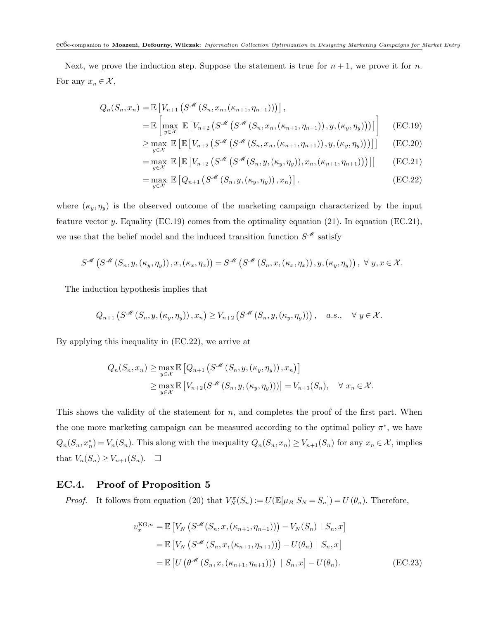Next, we prove the induction step. Suppose the statement is true for  $n + 1$ , we prove it for n. For any  $x_n \in \mathcal{X}$ ,

$$
Q_{n}(S_{n}, x_{n}) = \mathbb{E}\left[V_{n+1}\left(S^{\mathcal{M}}\left(S_{n}, x_{n}, (\kappa_{n+1}, \eta_{n+1})\right)\right)\right],
$$
  
= 
$$
\mathbb{E}\left[\max_{y \in \mathcal{X}} \mathbb{E}\left[V_{n+2}\left(S^{\mathcal{M}}\left(S_{n}, x_{n}, (\kappa_{n+1}, \eta_{n+1})\right), y, (\kappa_{y}, \eta_{y})\right)\right)\right]
$$
(EC.19)

$$
\geq \max_{y \in \mathcal{X}} \mathbb{E}\left[\mathbb{E}\left[V_{n+2}\left(S^{\mathcal{M}}\left(S_{n}, x_{n}, (\kappa_{n+1}, \eta_{n+1}), y, (\kappa_{y}, \eta_{y})\right)\right)\right]\right] \quad \text{(EC.20)}
$$

$$
= \max_{y \in \mathcal{X}} \mathbb{E} \left[ \mathbb{E} \left[ V_{n+2} \left( S^{\mathcal{M}} \left( S_{n}, y, (\kappa_{y}, \eta_{y}), x_{n}, (\kappa_{n+1}, \eta_{n+1}) \right) \right) \right] \right] \tag{EC.21}
$$

$$
= \max_{y \in \mathcal{X}} \mathbb{E} \left[ Q_{n+1} \left( S^{\mathcal{M}} \left( S_n, y, (\kappa_y, \eta_y) \right), x_n \right) \right]. \tag{EC.22}
$$

where  $(\kappa_y, \eta_y)$  is the observed outcome of the marketing campaign characterized by the input feature vector y. Equality (EC.19) comes from the optimality equation (21). In equation (EC.21), we use that the belief model and the induced transition function  $S^{\mathcal{M}}$  satisfy

$$
S^{\mathcal{M}}\left(S^{\mathcal{M}}\left(S_n, y, (\kappa_y, \eta_y)\right), x, (\kappa_x, \eta_x)\right) = S^{\mathcal{M}}\left(S^{\mathcal{M}}\left(S_n, x, (\kappa_x, \eta_x)\right), y, (\kappa_y, \eta_y)\right), \ \forall \ y, x \in \mathcal{X}.
$$

The induction hypothesis implies that

$$
Q_{n+1}\left(S^{\mathcal{M}}\left(S_n, y, (\kappa_y, \eta_y)\right), x_n\right) \geq V_{n+2}\left(S^{\mathcal{M}}\left(S_n, y, (\kappa_y, \eta_y)\right)\right), \quad a.s., \quad \forall \ y \in \mathcal{X}.
$$

By applying this inequality in (EC.22), we arrive at

$$
Q_n(S_n, x_n) \ge \max_{y \in \mathcal{X}} \mathbb{E}\left[Q_{n+1}\left(S^{\mathcal{M}}\left(S_n, y, (\kappa_y, \eta_y)\right), x_n\right)\right]
$$
  

$$
\ge \max_{y \in \mathcal{X}} \mathbb{E}\left[V_{n+2}(S^{\mathcal{M}}\left(S_n, y, (\kappa_y, \eta_y)\right))\right] = V_{n+1}(S_n), \quad \forall \ x_n \in \mathcal{X}.
$$

This shows the validity of the statement for  $n$ , and completes the proof of the first part. When the one more marketing campaign can be measured according to the optimal policy  $\pi^*$ , we have  $Q_n(S_n, x_n^*) = V_n(S_n)$ . This along with the inequality  $Q_n(S_n, x_n) \ge V_{n+1}(S_n)$  for any  $x_n \in \mathcal{X}$ , implies that  $V_n(S_n) \geq V_{n+1}(S_n)$ .  $\Box$ 

# EC.4. Proof of Proposition 5

*Proof.* It follows from equation (20) that  $V_N^{\pi}(S_n) := U(\mathbb{E}[\mu_B | S_N = S_n]) = U(\theta_n)$ . Therefore,

$$
v_x^{KG,n} = \mathbb{E}\left[V_N\left(S^{\mathcal{M}}(S_n, x, (\kappa_{n+1}, \eta_{n+1}))\right) - V_N(S_n) \mid S_n, x\right]
$$
  
=  $\mathbb{E}\left[V_N\left(S^{\mathcal{M}}(S_n, x, (\kappa_{n+1}, \eta_{n+1}))\right) - U(\theta_n) \mid S_n, x\right]$   
=  $\mathbb{E}\left[U\left(\theta^{\mathcal{M}}(S_n, x, (\kappa_{n+1}, \eta_{n+1}))\right) \mid S_n, x\right] - U(\theta_n).$  (EC.23)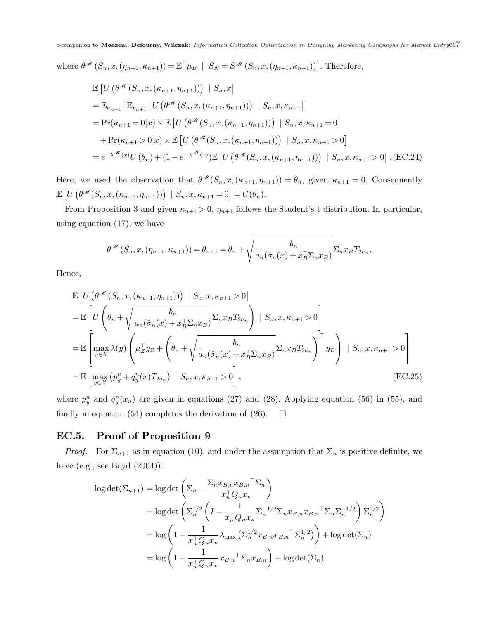where  $\theta^{\mathcal{M}}(S_n, x, (\eta_{n+1}, \kappa_{n+1})) = \mathbb{E} \left[ \mu_B \mid S_N = S^{\mathcal{M}}(S_n, x, (\eta_{n+1}, \kappa_{n+1})) \right]$ . Therefore,

$$
\mathbb{E}\left[U\left(\theta^{\mathcal{M}}\left(S_{n}, x, (\kappa_{n+1}, \eta_{n+1})\right)\right) \mid S_{n}, x\right]
$$
\n
$$
= \mathbb{E}_{\kappa_{n+1}}\left[\mathbb{E}_{\eta_{n+1}}\left[U\left(\theta^{\mathcal{M}}\left(S_{n}, x, (\kappa_{n+1}, \eta_{n+1})\right)\right) \mid S_{n}, x, \kappa_{n+1}\right]\right]
$$
\n
$$
= \Pr(\kappa_{n+1} = 0 | x) \times \mathbb{E}\left[U\left(\theta^{\mathcal{M}}\left(S_{n}, x, (\kappa_{n+1}, \eta_{n+1})\right)\right) \mid S_{n}, x, \kappa_{n+1} = 0\right]
$$
\n
$$
+ \Pr(\kappa_{n+1} > 0 | x) \times \mathbb{E}\left[U\left(\theta^{\mathcal{M}}\left(S_{n}, x, (\kappa_{n+1}, \eta_{n+1})\right)\right) \mid S_{n}, x, \kappa_{n+1} > 0\right]
$$
\n
$$
= e^{-\lambda^{\mathcal{M}}(x)} U\left(\theta_{n}\right) + (1 - e^{-\lambda^{\mathcal{M}}(x)}) \mathbb{E}\left[U\left(\theta^{\mathcal{M}}\left(S_{n}, x, (\kappa_{n+1}, \eta_{n+1})\right)\right) \mid S_{n}, x, \kappa_{n+1} > 0\right].
$$
 (EC.24)

Here, we used the observation that  $\theta^{\mathcal{M}}(S_n, x, (\kappa_{n+1}, \eta_{n+1})) = \theta_n$ , given  $\kappa_{n+1} = 0$ . Consequently  $\mathbb{E}\left[U\left(\theta^{\mathcal{M}}(S_{n}, x, (\kappa_{n+1}, \eta_{n+1}))\right) \mid S_{n}, x, \kappa_{n+1} = 0\right] = U(\theta_{n}).$ 

From Proposition 3 and given  $\kappa_{n+1} > 0$ ,  $\eta_{n+1}$  follows the Student's t-distribution. In particular, using equation (17), we have

$$
\theta^{\mathcal{M}}\left(S_n, x, (\eta_{n+1}, \kappa_{n+1})\right) = \theta_{n+1} = \theta_n + \sqrt{\frac{b_n}{a_n(\hat{\sigma}_n(x) + x_B^\top \Sigma_n x_B)} \Sigma_n x_B T_{2a_n}}
$$

.

Hence,

$$
\mathbb{E}\left[U\left(\theta^{\mathcal{M}}\left(S_{n},x,\left(\kappa_{n+1},\eta_{n+1}\right)\right)\right) \mid S_{n},x,\kappa_{n+1}>0\right]
$$
\n
$$
= \mathbb{E}\left[U\left(\theta_{n} + \sqrt{\frac{b_{n}}{a_{n}(\hat{\sigma}_{n}(x) + x_{B}^{\top}\Sigma_{n}x_{B})}}\Sigma_{n}x_{B}T_{2a_{n}}\right) \mid S_{n},x,\kappa_{n+1}>0\right]
$$
\n
$$
= \mathbb{E}\left[\max_{y\in\mathcal{X}}\lambda(y)\left(\mu_{Z}^{\top}y_{Z} + \left(\theta_{n} + \sqrt{\frac{b_{n}}{a_{n}(\hat{\sigma}_{n}(x) + x_{B}^{\top}\Sigma_{n}x_{B})}}\Sigma_{n}x_{B}T_{2a_{n}}\right)^{\top}y_{B}\right) \mid S_{n},x,\kappa_{n+1}>0\right]
$$
\n
$$
= \mathbb{E}\left[\max_{y\in\mathcal{X}}\left(p_{y}^{n} + q_{y}^{n}(x)T_{2a_{n}}\right) \mid S_{n},x,\kappa_{n+1}>0\right],\tag{EC.25}
$$

where  $p_y^n$  and  $q_y^n(x_n)$  are given in equations (27) and (28). Applying equation (56) in (55), and finally in equation (54) completes the derivation of (26).  $\Box$ 

# EC.5. Proof of Proposition 9

*Proof.* For  $\Sigma_{n+1}$  as in equation (10), and under the assumption that  $\Sigma_n$  is positive definite, we have (e.g., see Boyd (2004)):

$$
\log \det(\Sigma_{n+1}) = \log \det \left( \Sigma_n - \frac{\Sigma_n x_{B,n} x_{B,n}^\top \Sigma_n}{x_n^\top Q_n x_n} \right)
$$
  
=  $\log \det \left( \Sigma_n^{1/2} \left( I - \frac{1}{x_n^\top Q_n x_n} \Sigma_n^{-1/2} \Sigma_n x_{B,n} x_{B,n}^\top \Sigma_n \Sigma_n^{-1/2} \right) \Sigma_n^{1/2} \right)$   
=  $\log \left( 1 - \frac{1}{x_n^\top Q_n x_n} \lambda_{\max} \left( \Sigma_n^{1/2} x_{B,n} x_{B,n}^\top \Sigma_n^{1/2} \right) \right) + \log \det(\Sigma_n)$   
=  $\log \left( 1 - \frac{1}{x_n^\top Q_n x_n} x_{B,n}^\top \Sigma_n x_{B,n} \right) + \log \det(\Sigma_n).$